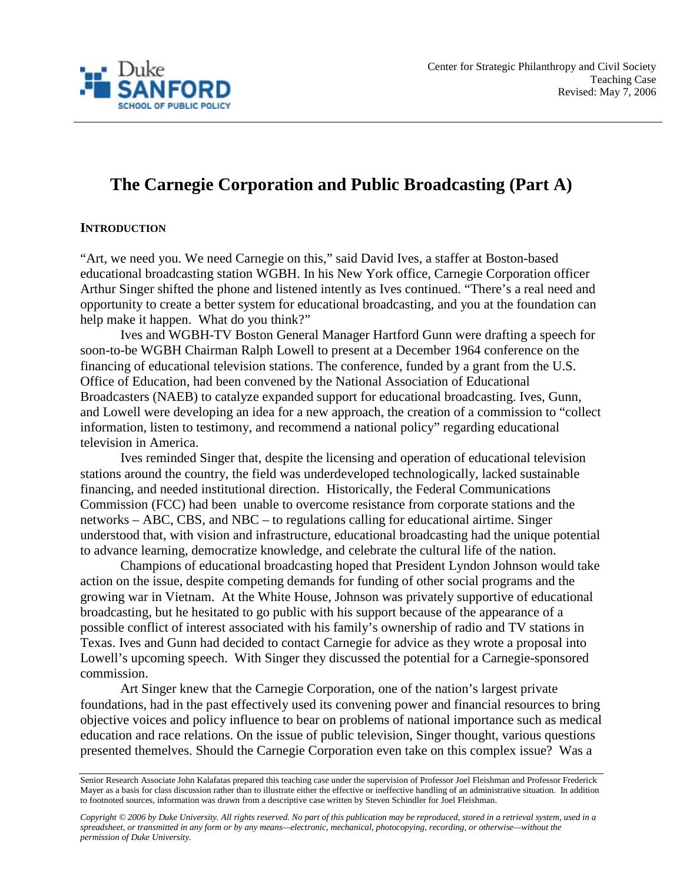

# **The Carnegie Corporation and Public Broadcasting (Part A)**

### **INTRODUCTION**

"Art, we need you. We need Carnegie on this," said David Ives, a staffer at Boston-based educational broadcasting station WGBH. In his New York office, Carnegie Corporation officer Arthur Singer shifted the phone and listened intently as Ives continued. "There's a real need and opportunity to create a better system for educational broadcasting, and you at the foundation can help make it happen. What do you think?"

Ives and WGBH-TV Boston General Manager Hartford Gunn were drafting a speech for soon-to-be WGBH Chairman Ralph Lowell to present at a December 1964 conference on the financing of educational television stations. The conference, funded by a grant from the U.S. Office of Education, had been convened by the National Association of Educational Broadcasters (NAEB) to catalyze expanded support for educational broadcasting. Ives, Gunn, and Lowell were developing an idea for a new approach, the creation of a commission to "collect information, listen to testimony, and recommend a national policy" regarding educational television in America.

Ives reminded Singer that, despite the licensing and operation of educational television stations around the country, the field was underdeveloped technologically, lacked sustainable financing, and needed institutional direction. Historically, the Federal Communications Commission (FCC) had been unable to overcome resistance from corporate stations and the networks – ABC, CBS, and NBC – to regulations calling for educational airtime. Singer understood that, with vision and infrastructure, educational broadcasting had the unique potential to advance learning, democratize knowledge, and celebrate the cultural life of the nation.

Champions of educational broadcasting hoped that President Lyndon Johnson would take action on the issue, despite competing demands for funding of other social programs and the growing war in Vietnam. At the White House, Johnson was privately supportive of educational broadcasting, but he hesitated to go public with his support because of the appearance of a possible conflict of interest associated with his family's ownership of radio and TV stations in Texas. Ives and Gunn had decided to contact Carnegie for advice as they wrote a proposal into Lowell's upcoming speech. With Singer they discussed the potential for a Carnegie-sponsored commission.

Art Singer knew that the Carnegie Corporation, one of the nation's largest private foundations, had in the past effectively used its convening power and financial resources to bring objective voices and policy influence to bear on problems of national importance such as medical education and race relations. On the issue of public television, Singer thought, various questions presented themelves. Should the Carnegie Corporation even take on this complex issue? Was a

*Copyright © 2006 by Duke University. All rights reserved. No part of this publication may be reproduced, stored in a retrieval system, used in a spreadsheet, or transmitted in any form or by any means—electronic, mechanical, photocopying, recording, or otherwise—without the permission of Duke University.*

Senior Research Associate John Kalafatas prepared this teaching case under the supervision of Professor Joel Fleishman and Professor Frederick Mayer as a basis for class discussion rather than to illustrate either the effective or ineffective handling of an administrative situation. In addition to footnoted sources, information was drawn from a descriptive case written by Steven Schindler for Joel Fleishman.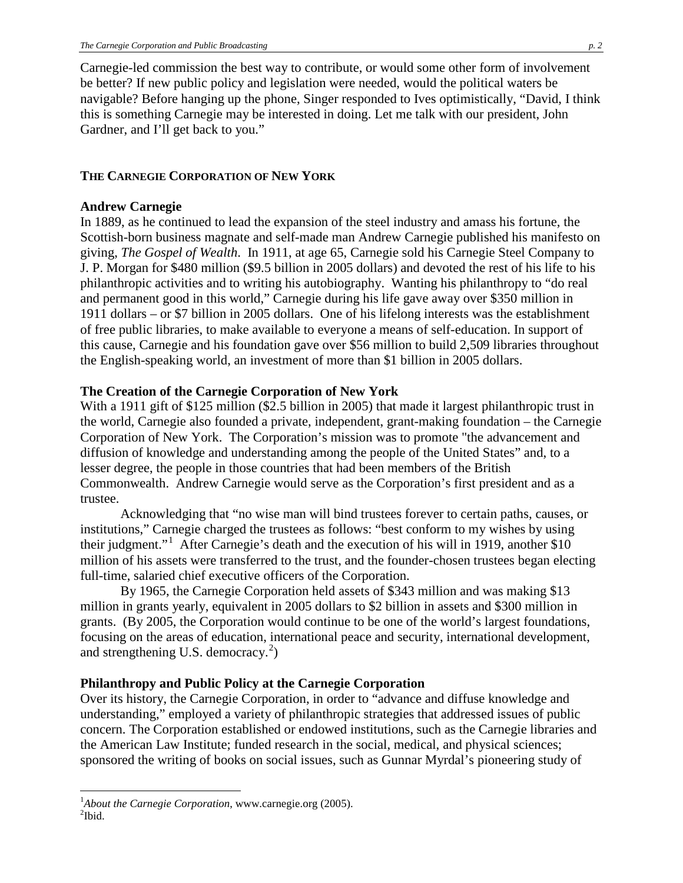Carnegie-led commission the best way to contribute, or would some other form of involvement be better? If new public policy and legislation were needed, would the political waters be navigable? Before hanging up the phone, Singer responded to Ives optimistically, "David, I think this is something Carnegie may be interested in doing. Let me talk with our president, John Gardner, and I'll get back to you."

#### **THE CARNEGIE CORPORATION OF NEW YORK**

#### **Andrew Carnegie**

In 1889, as he continued to lead the expansion of the steel industry and amass his fortune, the Scottish-born business magnate and self-made man Andrew Carnegie published his manifesto on giving, *The Gospel of Wealth*. In 1911, at age 65, Carnegie sold his Carnegie Steel Company to J. P. Morgan for \$480 million (\$9.5 billion in 2005 dollars) and devoted the rest of his life to his philanthropic activities and to writing his autobiography. Wanting his philanthropy to "do real and permanent good in this world," Carnegie during his life gave away over \$350 million in 1911 dollars – or \$7 billion in 2005 dollars. One of his lifelong interests was the establishment of free public libraries, to make available to everyone a means of self-education. In support of this cause, Carnegie and his foundation gave over \$56 million to build 2,509 libraries throughout the English-speaking world, an investment of more than \$1 billion in 2005 dollars.

### **The Creation of the Carnegie Corporation of New York**

With a 1911 gift of \$125 million (\$2.5 billion in 2005) that made it largest philanthropic trust in the world, Carnegie also founded a private, independent, grant-making foundation – the Carnegie Corporation of New York. The Corporation's mission was to promote "the advancement and diffusion of knowledge and understanding among the people of the United States" and, to a lesser degree, the people in those countries that had been members of the British Commonwealth. Andrew Carnegie would serve as the Corporation's first president and as a trustee.

Acknowledging that "no wise man will bind trustees forever to certain paths, causes, or institutions," Carnegie charged the trustees as follows: "best conform to my wishes by using their judgment."<sup>[1](#page-1-0)</sup> After Carnegie's death and the execution of his will in 1919, another \$10 million of his assets were transferred to the trust, and the founder-chosen trustees began electing full-time, salaried chief executive officers of the Corporation.

By 1965, the Carnegie Corporation held assets of \$343 million and was making \$13 million in grants yearly, equivalent in 2005 dollars to \$2 billion in assets and \$300 million in grants. (By 2005, the Corporation would continue to be one of the world's largest foundations, focusing on the areas of education, international peace and security, international development, and strengthening U.S. democracy.<sup>[2](#page-1-1)</sup>)

### **Philanthropy and Public Policy at the Carnegie Corporation**

Over its history, the Carnegie Corporation, in order to "advance and diffuse knowledge and understanding," employed a variety of philanthropic strategies that addressed issues of public concern. The Corporation established or endowed institutions, such as the Carnegie libraries and the American Law Institute; funded research in the social, medical, and physical sciences; sponsored the writing of books on social issues, such as Gunnar Myrdal's pioneering study of

 $\frac{1}{1}$ <sup>1</sup>About the Carnegie Corporation, www.carnegie.org (2005).

<span id="page-1-1"></span><span id="page-1-0"></span> $^{2}$ Ibid.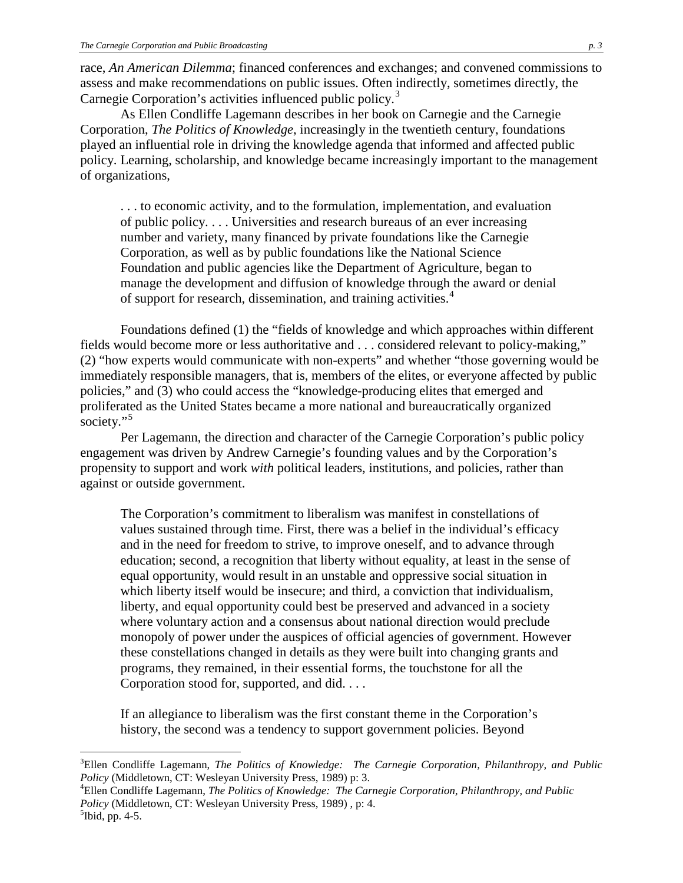race, *An American Dilemma*; financed conferences and exchanges; and convened commissions to assess and make recommendations on public issues. Often indirectly, sometimes directly, the Carnegie Corporation's activities influenced public policy.<sup>[3](#page-2-0)</sup>

As Ellen Condliffe Lagemann describes in her book on Carnegie and the Carnegie Corporation, *The Politics of Knowledge*, increasingly in the twentieth century, foundations played an influential role in driving the knowledge agenda that informed and affected public policy. Learning, scholarship, and knowledge became increasingly important to the management of organizations,

. . . to economic activity, and to the formulation, implementation, and evaluation of public policy. . . . Universities and research bureaus of an ever increasing number and variety, many financed by private foundations like the Carnegie Corporation, as well as by public foundations like the National Science Foundation and public agencies like the Department of Agriculture, began to manage the development and diffusion of knowledge through the award or denial of support for research, dissemination, and training activities.<sup>[4](#page-2-1)</sup>

Foundations defined (1) the "fields of knowledge and which approaches within different fields would become more or less authoritative and . . . considered relevant to policy-making," (2) "how experts would communicate with non-experts" and whether "those governing would be immediately responsible managers, that is, members of the elites, or everyone affected by public policies," and (3) who could access the "knowledge-producing elites that emerged and proliferated as the United States became a more national and bureaucratically organized society."<sup>[5](#page-2-2)</sup>

Per Lagemann, the direction and character of the Carnegie Corporation's public policy engagement was driven by Andrew Carnegie's founding values and by the Corporation's propensity to support and work *with* political leaders, institutions, and policies, rather than against or outside government.

The Corporation's commitment to liberalism was manifest in constellations of values sustained through time. First, there was a belief in the individual's efficacy and in the need for freedom to strive, to improve oneself, and to advance through education; second, a recognition that liberty without equality, at least in the sense of equal opportunity, would result in an unstable and oppressive social situation in which liberty itself would be insecure; and third, a conviction that individualism, liberty, and equal opportunity could best be preserved and advanced in a society where voluntary action and a consensus about national direction would preclude monopoly of power under the auspices of official agencies of government. However these constellations changed in details as they were built into changing grants and programs, they remained, in their essential forms, the touchstone for all the Corporation stood for, supported, and did. . . .

If an allegiance to liberalism was the first constant theme in the Corporation's history, the second was a tendency to support government policies. Beyond

<span id="page-2-0"></span> $\frac{1}{3}$ Ellen Condliffe Lagemann, *The Politics of Knowledge: The Carnegie Corporation, Philanthropy, and Public Policy* (Middletown, CT: Wesleyan University Press, 1989) p: 3. <sup>4</sup>

<span id="page-2-1"></span>Ellen Condliffe Lagemann, *The Politics of Knowledge: The Carnegie Corporation, Philanthropy, and Public Policy* (Middletown, CT: Wesleyan University Press, 1989), p: 4.

<span id="page-2-2"></span> $<sup>5</sup>Ibid, pp. 4-5.$ </sup>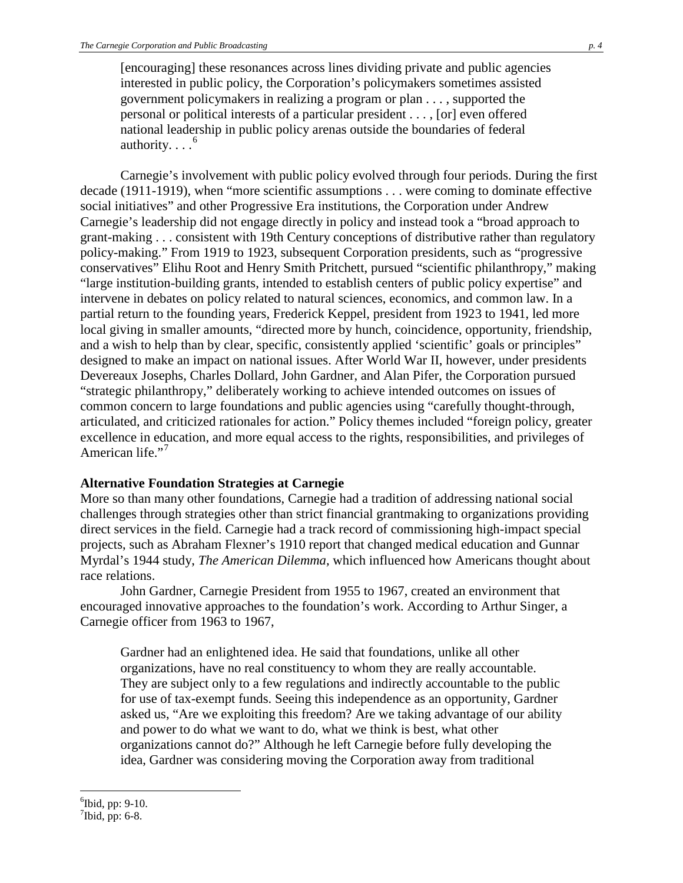[encouraging] these resonances across lines dividing private and public agencies interested in public policy, the Corporation's policymakers sometimes assisted government policymakers in realizing a program or plan . . . , supported the personal or political interests of a particular president . . . , [or] even offered national leadership in public policy arenas outside the boundaries of federal authority.  $\ldots$ <sup>[6](#page-3-0)</sup>

Carnegie's involvement with public policy evolved through four periods. During the first decade (1911-1919), when "more scientific assumptions . . . were coming to dominate effective social initiatives" and other Progressive Era institutions, the Corporation under Andrew Carnegie's leadership did not engage directly in policy and instead took a "broad approach to grant-making . . . consistent with 19th Century conceptions of distributive rather than regulatory policy-making." From 1919 to 1923, subsequent Corporation presidents, such as "progressive conservatives" Elihu Root and Henry Smith Pritchett, pursued "scientific philanthropy," making "large institution-building grants, intended to establish centers of public policy expertise" and intervene in debates on policy related to natural sciences, economics, and common law. In a partial return to the founding years, Frederick Keppel, president from 1923 to 1941, led more local giving in smaller amounts, "directed more by hunch, coincidence, opportunity, friendship, and a wish to help than by clear, specific, consistently applied 'scientific' goals or principles" designed to make an impact on national issues. After World War II, however, under presidents Devereaux Josephs, Charles Dollard, John Gardner, and Alan Pifer, the Corporation pursued "strategic philanthropy," deliberately working to achieve intended outcomes on issues of common concern to large foundations and public agencies using "carefully thought-through, articulated, and criticized rationales for action." Policy themes included "foreign policy, greater excellence in education, and more equal access to the rights, responsibilities, and privileges of American life."<sup>[7](#page-3-1)</sup>

#### **Alternative Foundation Strategies at Carnegie**

More so than many other foundations, Carnegie had a tradition of addressing national social challenges through strategies other than strict financial grantmaking to organizations providing direct services in the field. Carnegie had a track record of commissioning high-impact special projects, such as Abraham Flexner's 1910 report that changed medical education and Gunnar Myrdal's 1944 study, *The American Dilemma,* which influenced how Americans thought about race relations.

John Gardner, Carnegie President from 1955 to 1967, created an environment that encouraged innovative approaches to the foundation's work. According to Arthur Singer, a Carnegie officer from 1963 to 1967,

Gardner had an enlightened idea. He said that foundations, unlike all other organizations, have no real constituency to whom they are really accountable. They are subject only to a few regulations and indirectly accountable to the public for use of tax-exempt funds. Seeing this independence as an opportunity, Gardner asked us, "Are we exploiting this freedom? Are we taking advantage of our ability and power to do what we want to do, what we think is best, what other organizations cannot do?" Although he left Carnegie before fully developing the idea, Gardner was considering moving the Corporation away from traditional

<span id="page-3-0"></span> <sup>6</sup>  $\mathrm{^{6}Ibid}$ , pp: 9-10.

<span id="page-3-1"></span> $\sqrt[7]{1}$ bid, pp: 6-8.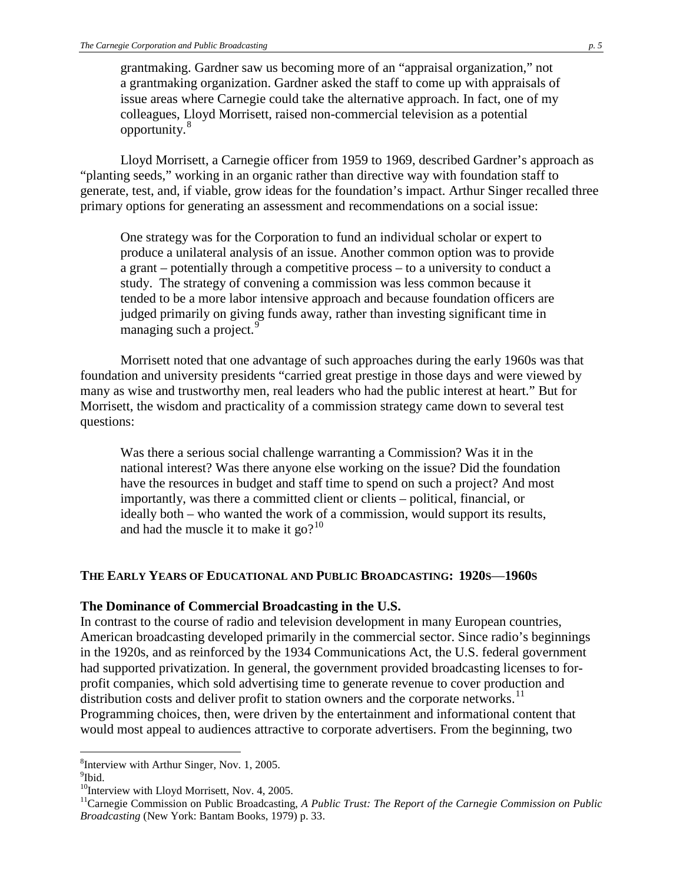grantmaking. Gardner saw us becoming more of an "appraisal organization," not a grantmaking organization. Gardner asked the staff to come up with appraisals of issue areas where Carnegie could take the alternative approach. In fact, one of my colleagues, Lloyd Morrisett, raised non-commercial television as a potential opportunity.[8](#page-4-0)

Lloyd Morrisett, a Carnegie officer from 1959 to 1969, described Gardner's approach as "planting seeds," working in an organic rather than directive way with foundation staff to generate, test, and, if viable, grow ideas for the foundation's impact. Arthur Singer recalled three primary options for generating an assessment and recommendations on a social issue:

One strategy was for the Corporation to fund an individual scholar or expert to produce a unilateral analysis of an issue. Another common option was to provide a grant – potentially through a competitive process – to a university to conduct a study. The strategy of convening a commission was less common because it tended to be a more labor intensive approach and because foundation officers are judged primarily on giving funds away, rather than investing significant time in managing such a project.<sup>[9](#page-4-1)</sup>

Morrisett noted that one advantage of such approaches during the early 1960s was that foundation and university presidents "carried great prestige in those days and were viewed by many as wise and trustworthy men, real leaders who had the public interest at heart." But for Morrisett, the wisdom and practicality of a commission strategy came down to several test questions:

Was there a serious social challenge warranting a Commission? Was it in the national interest? Was there anyone else working on the issue? Did the foundation have the resources in budget and staff time to spend on such a project? And most importantly, was there a committed client or clients – political, financial, or ideally both – who wanted the work of a commission, would support its results, and had the muscle it to make it go?<sup>[10](#page-4-2)</sup>

#### **THE EARLY YEARS OF EDUCATIONAL AND PUBLIC BROADCASTING: 1920S**—**1960S**

#### **The Dominance of Commercial Broadcasting in the U.S.**

In contrast to the course of radio and television development in many European countries, American broadcasting developed primarily in the commercial sector. Since radio's beginnings in the 1920s, and as reinforced by the 1934 Communications Act, the U.S. federal government had supported privatization. In general, the government provided broadcasting licenses to forprofit companies, which sold advertising time to generate revenue to cover production and distribution costs and deliver profit to station owners and the corporate networks.<sup>[11](#page-4-3)</sup> Programming choices, then, were driven by the entertainment and informational content that would most appeal to audiences attractive to corporate advertisers. From the beginning, two

<span id="page-4-0"></span> <sup>8</sup>  ${}^{8}$ Interview with Arthur Singer, Nov. 1, 2005.

<span id="page-4-1"></span><sup>&</sup>lt;sup>9</sup>Ibid.

<span id="page-4-2"></span> $10$ Interview with Lloyd Morrisett, Nov. 4, 2005.

<span id="page-4-3"></span><sup>&</sup>lt;sup>11</sup>Carnegie Commission on Public Broadcasting, *A Public Trust: The Report of the Carnegie Commission on Public Broadcasting* (New York: Bantam Books, 1979) p. 33.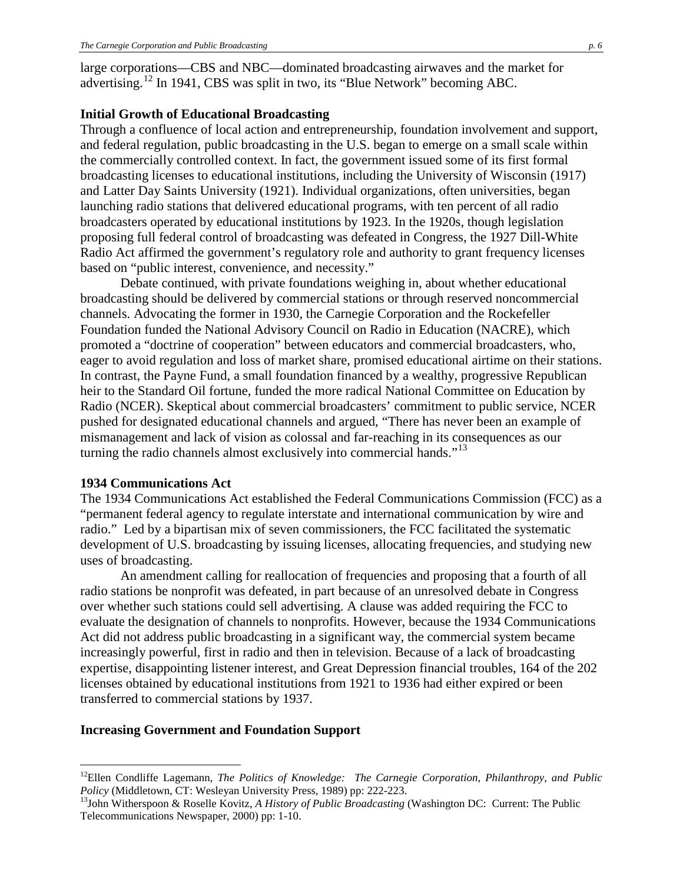large corporations—CBS and NBC—dominated broadcasting airwaves and the market for advertising.[12](#page-5-0) In 1941, CBS was split in two, its "Blue Network" becoming ABC.

#### **Initial Growth of Educational Broadcasting**

Through a confluence of local action and entrepreneurship, foundation involvement and support, and federal regulation, public broadcasting in the U.S. began to emerge on a small scale within the commercially controlled context. In fact, the government issued some of its first formal broadcasting licenses to educational institutions, including the University of Wisconsin (1917) and Latter Day Saints University (1921). Individual organizations, often universities, began launching radio stations that delivered educational programs, with ten percent of all radio broadcasters operated by educational institutions by 1923. In the 1920s, though legislation proposing full federal control of broadcasting was defeated in Congress, the 1927 Dill-White Radio Act affirmed the government's regulatory role and authority to grant frequency licenses based on "public interest, convenience, and necessity."

Debate continued, with private foundations weighing in, about whether educational broadcasting should be delivered by commercial stations or through reserved noncommercial channels. Advocating the former in 1930, the Carnegie Corporation and the Rockefeller Foundation funded the National Advisory Council on Radio in Education (NACRE), which promoted a "doctrine of cooperation" between educators and commercial broadcasters, who, eager to avoid regulation and loss of market share, promised educational airtime on their stations. In contrast, the Payne Fund, a small foundation financed by a wealthy, progressive Republican heir to the Standard Oil fortune, funded the more radical National Committee on Education by Radio (NCER). Skeptical about commercial broadcasters' commitment to public service, NCER pushed for designated educational channels and argued, "There has never been an example of mismanagement and lack of vision as colossal and far-reaching in its consequences as our turning the radio channels almost exclusively into commercial hands."<sup>[13](#page-5-1)</sup>

#### **1934 Communications Act**

The 1934 Communications Act established the Federal Communications Commission (FCC) as a "permanent federal agency to regulate interstate and international communication by wire and radio." Led by a bipartisan mix of seven commissioners, the FCC facilitated the systematic development of U.S. broadcasting by issuing licenses, allocating frequencies, and studying new uses of broadcasting.

An amendment calling for reallocation of frequencies and proposing that a fourth of all radio stations be nonprofit was defeated, in part because of an unresolved debate in Congress over whether such stations could sell advertising. A clause was added requiring the FCC to evaluate the designation of channels to nonprofits. However, because the 1934 Communications Act did not address public broadcasting in a significant way, the commercial system became increasingly powerful, first in radio and then in television. Because of a lack of broadcasting expertise, disappointing listener interest, and Great Depression financial troubles, 164 of the 202 licenses obtained by educational institutions from 1921 to 1936 had either expired or been transferred to commercial stations by 1937.

#### **Increasing Government and Foundation Support**

<span id="page-5-0"></span><sup>&</sup>lt;sup>12</sup>Ellen Condliffe Lagemann, *The Politics of Knowledge: The Carnegie Corporation, Philanthropy, and Public Policy (Middletown, CT: Wesleyan University Press, 1989) pp: 222-223.* 

<span id="page-5-1"></span><sup>&</sup>lt;sup>13</sup>John Witherspoon & Roselle Kovitz, *A History of Public Broadcasting* (Washington DC: Current: The Public Telecommunications Newspaper, 2000) pp: 1-10.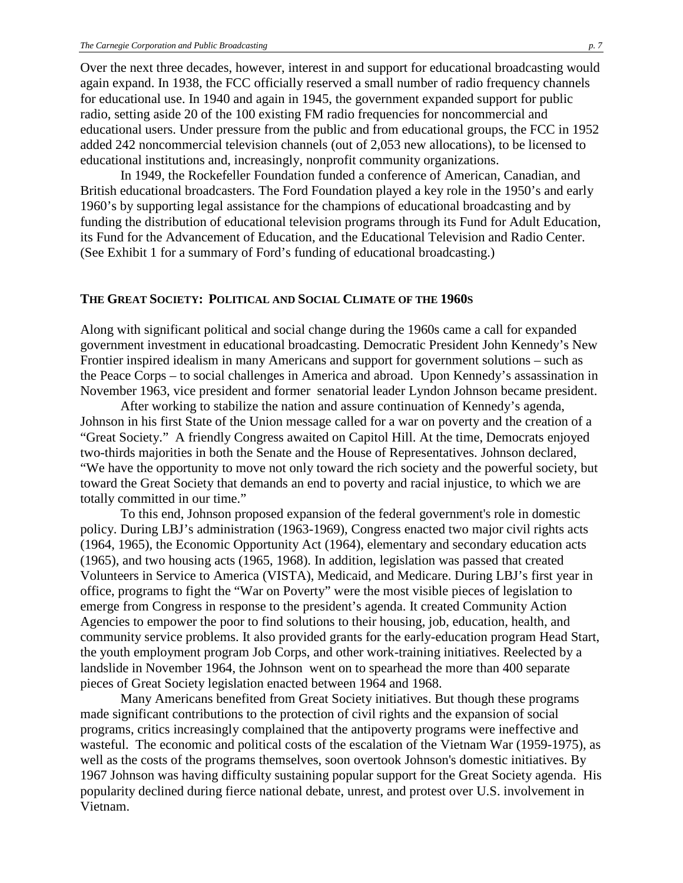Over the next three decades, however, interest in and support for educational broadcasting would again expand. In 1938, the FCC officially reserved a small number of radio frequency channels for educational use. In 1940 and again in 1945, the government expanded support for public radio, setting aside 20 of the 100 existing FM radio frequencies for noncommercial and educational users. Under pressure from the public and from educational groups, the FCC in 1952 added 242 noncommercial television channels (out of 2,053 new allocations), to be licensed to educational institutions and, increasingly, nonprofit community organizations.

In 1949, the Rockefeller Foundation funded a conference of American, Canadian, and British educational broadcasters. The Ford Foundation played a key role in the 1950's and early 1960's by supporting legal assistance for the champions of educational broadcasting and by funding the distribution of educational television programs through its Fund for Adult Education, its Fund for the Advancement of Education, and the Educational Television and Radio Center. (See Exhibit 1 for a summary of Ford's funding of educational broadcasting.)

#### **THE GREAT SOCIETY: POLITICAL AND SOCIAL CLIMATE OF THE 1960S**

Along with significant political and social change during the 1960s came a call for expanded government investment in educational broadcasting. Democratic President John Kennedy's New Frontier inspired idealism in many Americans and support for government solutions – such as the Peace Corps – to social challenges in America and abroad. Upon Kennedy's assassination in November 1963, vice president and former senatorial leader Lyndon Johnson became president.

After working to stabilize the nation and assure continuation of Kennedy's agenda, Johnson in his first State of the Union message called for a war on poverty and the creation of a "Great Society." A friendly Congress awaited on Capitol Hill. At the time, Democrats enjoyed two-thirds majorities in both the Senate and the House of Representatives. Johnson declared, "We have the opportunity to move not only toward the rich society and the powerful society, but toward the Great Society that demands an end to poverty and racial injustice, to which we are totally committed in our time."

To this end, Johnson proposed expansion of the federal government's role in domestic policy. During LBJ's administration (1963-1969), Congress enacted two major civil rights acts (1964, 1965), the Economic Opportunity Act (1964), elementary and secondary education acts (1965), and two housing acts (1965, 1968). In addition, legislation was passed that created Volunteers in Service to America (VISTA), Medicaid, and Medicare. During LBJ's first year in office, programs to fight the "War on Poverty" were the most visible pieces of legislation to emerge from Congress in response to the president's agenda. It created Community Action Agencies to empower the poor to find solutions to their housing, job, education, health, and community service problems. It also provided grants for the early-education program Head Start, the youth employment program Job Corps, and other work-training initiatives. Reelected by a landslide in November 1964, the Johnson went on to spearhead the more than 400 separate pieces of Great Society legislation enacted between 1964 and 1968.

Many Americans benefited from Great Society initiatives. But though these programs made significant contributions to the protection of civil rights and the expansion of social programs, critics increasingly complained that the antipoverty programs were ineffective and wasteful. The economic and political costs of the escalation of the Vietnam War (1959-1975), as well as the costs of the programs themselves, soon overtook Johnson's domestic initiatives. By 1967 Johnson was having difficulty sustaining popular support for the Great Society agenda. His popularity declined during fierce national debate, unrest, and protest over U.S. involvement in Vietnam.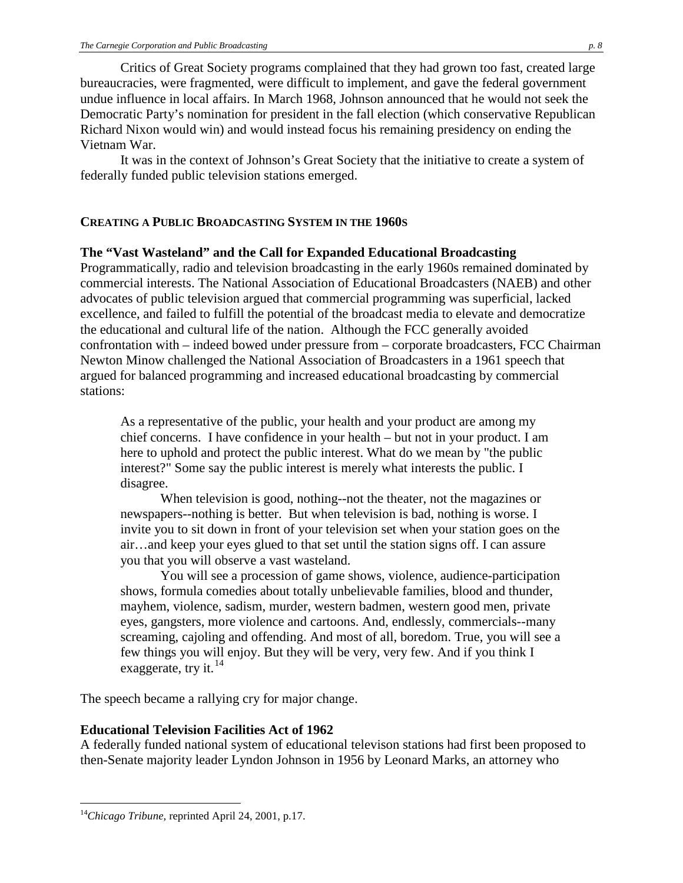Critics of Great Society programs complained that they had grown too fast, created large bureaucracies, were fragmented, were difficult to implement, and gave the federal government undue influence in local affairs. In March 1968, Johnson announced that he would not seek the Democratic Party's nomination for president in the fall election (which conservative Republican Richard Nixon would win) and would instead focus his remaining presidency on ending the Vietnam War.

It was in the context of Johnson's Great Society that the initiative to create a system of federally funded public television stations emerged.

#### **CREATING A PUBLIC BROADCASTING SYSTEM IN THE 1960S**

#### **The "Vast Wasteland" and the Call for Expanded Educational Broadcasting**

Programmatically, radio and television broadcasting in the early 1960s remained dominated by commercial interests. The National Association of Educational Broadcasters (NAEB) and other advocates of public television argued that commercial programming was superficial, lacked excellence, and failed to fulfill the potential of the broadcast media to elevate and democratize the educational and cultural life of the nation. Although the FCC generally avoided confrontation with – indeed bowed under pressure from – corporate broadcasters, FCC Chairman Newton Minow challenged the National Association of Broadcasters in a 1961 speech that argued for balanced programming and increased educational broadcasting by commercial stations:

As a representative of the public, your health and your product are among my chief concerns. I have confidence in your health – but not in your product. I am here to uphold and protect the public interest. What do we mean by "the public interest?" Some say the public interest is merely what interests the public. I disagree.

When television is good, nothing--not the theater, not the magazines or newspapers--nothing is better. But when television is bad, nothing is worse. I invite you to sit down in front of your television set when your station goes on the air…and keep your eyes glued to that set until the station signs off. I can assure you that you will observe a vast wasteland.

You will see a procession of game shows, violence, audience-participation shows, formula comedies about totally unbelievable families, blood and thunder, mayhem, violence, sadism, murder, western badmen, western good men, private eyes, gangsters, more violence and cartoons. And, endlessly, commercials--many screaming, cajoling and offending. And most of all, boredom. True, you will see a few things you will enjoy. But they will be very, very few. And if you think I exaggerate, try it.  $14$ 

The speech became a rallying cry for major change.

#### **Educational Television Facilities Act of 1962**

A federally funded national system of educational televison stations had first been proposed to then-Senate majority leader Lyndon Johnson in 1956 by Leonard Marks, an attorney who

<span id="page-7-0"></span> <sup>14</sup>*Chicago Tribune,* reprinted April 24, 2001, p.17.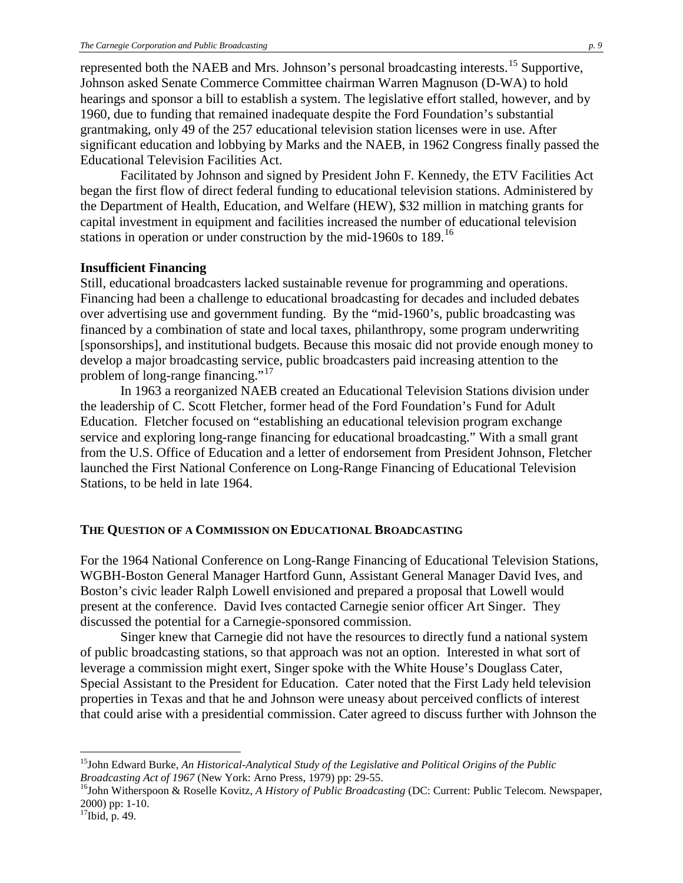represented both the NAEB and Mrs. Johnson's personal broadcasting interests.<sup>[15](#page-8-0)</sup> Supportive, Johnson asked Senate Commerce Committee chairman Warren Magnuson (D-WA) to hold hearings and sponsor a bill to establish a system. The legislative effort stalled, however, and by 1960, due to funding that remained inadequate despite the Ford Foundation's substantial grantmaking, only 49 of the 257 educational television station licenses were in use. After significant education and lobbying by Marks and the NAEB, in 1962 Congress finally passed the Educational Television Facilities Act.

Facilitated by Johnson and signed by President John F. Kennedy, the ETV Facilities Act began the first flow of direct federal funding to educational television stations. Administered by the Department of Health, Education, and Welfare (HEW), \$32 million in matching grants for capital investment in equipment and facilities increased the number of educational television stations in operation or under construction by the mid-1960s to 189. [16](#page-8-1) 

#### **Insufficient Financing**

Still, educational broadcasters lacked sustainable revenue for programming and operations. Financing had been a challenge to educational broadcasting for decades and included debates over advertising use and government funding. By the "mid-1960's, public broadcasting was financed by a combination of state and local taxes, philanthropy, some program underwriting [sponsorships], and institutional budgets. Because this mosaic did not provide enough money to develop a major broadcasting service, public broadcasters paid increasing attention to the problem of long-range financing."<sup>[17](#page-8-2)</sup>

In 1963 a reorganized NAEB created an Educational Television Stations division under the leadership of C. Scott Fletcher, former head of the Ford Foundation's Fund for Adult Education. Fletcher focused on "establishing an educational television program exchange service and exploring long-range financing for educational broadcasting." With a small grant from the U.S. Office of Education and a letter of endorsement from President Johnson, Fletcher launched the First National Conference on Long-Range Financing of Educational Television Stations, to be held in late 1964.

### **THE QUESTION OF A COMMISSION ON EDUCATIONAL BROADCASTING**

For the 1964 National Conference on Long-Range Financing of Educational Television Stations, WGBH-Boston General Manager Hartford Gunn, Assistant General Manager David Ives, and Boston's civic leader Ralph Lowell envisioned and prepared a proposal that Lowell would present at the conference. David Ives contacted Carnegie senior officer Art Singer. They discussed the potential for a Carnegie-sponsored commission.

Singer knew that Carnegie did not have the resources to directly fund a national system of public broadcasting stations, so that approach was not an option. Interested in what sort of leverage a commission might exert, Singer spoke with the White House's Douglass Cater, Special Assistant to the President for Education. Cater noted that the First Lady held television properties in Texas and that he and Johnson were uneasy about perceived conflicts of interest that could arise with a presidential commission. Cater agreed to discuss further with Johnson the

<span id="page-8-0"></span> <sup>15</sup>John Edward Burke, *An Historical-Analytical Study of the Legislative and Political Origins of the Public* 

<span id="page-8-1"></span>*Broadcasting Act of 1967* (New York: Arno Press, 1979) pp: 29-55.<br><sup>16</sup>John Witherspoon & Roselle Kovitz, *A History of Public Broadcasting* (DC: Current: Public Telecom. Newspaper, 2000) pp: 1-10.

<span id="page-8-2"></span> $17$ Ibid, p. 49.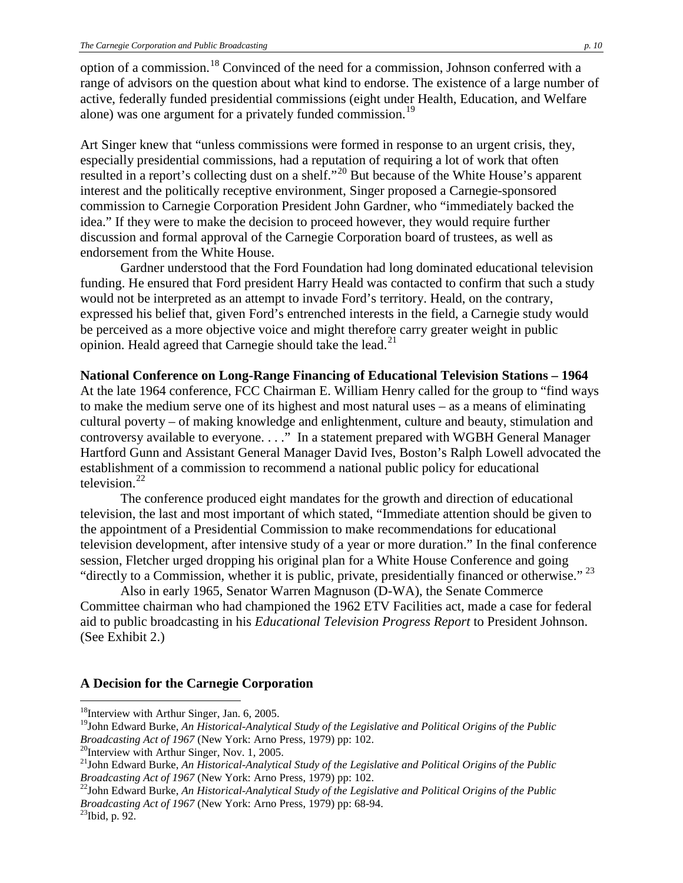option of a commission.[18](#page-9-0) Convinced of the need for a commission, Johnson conferred with a range of advisors on the question about what kind to endorse. The existence of a large number of active, federally funded presidential commissions (eight under Health, Education, and Welfare alone) was one argument for a privately funded commission.<sup>[19](#page-9-1)</sup>

Art Singer knew that "unless commissions were formed in response to an urgent crisis, they, especially presidential commissions, had a reputation of requiring a lot of work that often resulted in a report's collecting dust on a shelf."<sup>[20](#page-9-2)</sup> But because of the White House's apparent interest and the politically receptive environment, Singer proposed a Carnegie-sponsored commission to Carnegie Corporation President John Gardner, who "immediately backed the idea." If they were to make the decision to proceed however, they would require further discussion and formal approval of the Carnegie Corporation board of trustees, as well as endorsement from the White House.

Gardner understood that the Ford Foundation had long dominated educational television funding. He ensured that Ford president Harry Heald was contacted to confirm that such a study would not be interpreted as an attempt to invade Ford's territory. Heald, on the contrary, expressed his belief that, given Ford's entrenched interests in the field, a Carnegie study would be perceived as a more objective voice and might therefore carry greater weight in public opinion. Heald agreed that Carnegie should take the lead.<sup>[21](#page-9-3)</sup>

#### **National Conference on Long-Range Financing of Educational Television Stations – 1964**

At the late 1964 conference, FCC Chairman E. William Henry called for the group to "find ways to make the medium serve one of its highest and most natural uses – as a means of eliminating cultural poverty – of making knowledge and enlightenment, culture and beauty, stimulation and controversy available to everyone. . . ." In a statement prepared with WGBH General Manager Hartford Gunn and Assistant General Manager David Ives, Boston's Ralph Lowell advocated the establishment of a commission to recommend a national public policy for educational television. $^{22}$  $^{22}$  $^{22}$ 

The conference produced eight mandates for the growth and direction of educational television, the last and most important of which stated, "Immediate attention should be given to the appointment of a Presidential Commission to make recommendations for educational television development, after intensive study of a year or more duration." In the final conference session, Fletcher urged dropping his original plan for a White House Conference and going "directly to a Commission, whether it is public, private, presidentially financed or otherwise."<sup>[23](#page-9-5)</sup>

Also in early 1965, Senator Warren Magnuson (D-WA), the Senate Commerce Committee chairman who had championed the 1962 ETV Facilities act, made a case for federal aid to public broadcasting in his *Educational Television Progress Report* to President Johnson. (See Exhibit 2.)

#### **A Decision for the Carnegie Corporation**

<span id="page-9-0"></span><sup>&</sup>lt;sup>18</sup>Interview with Arthur Singer, Jan. 6, 2005.

<span id="page-9-1"></span><sup>19</sup>John Edward Burke, *An Historical-Analytical Study of the Legislative and Political Origins of the Public Broadcasting Act of 1967* (New York: Arno Press, 1979) pp: 102.<br><sup>20</sup>Interview with Arthur Singer, Nov. 1, 2005.

<span id="page-9-2"></span>

<span id="page-9-3"></span><sup>21</sup>John Edward Burke, *An Historical-Analytical Study of the Legislative and Political Origins of the Public Broadcasting Act of 1967* (New York: Arno Press, 1979) pp: 102.<br><sup>22</sup>John Edward Burke, *An Historical-Analytical Study of the Legislative and Political Origins of the Public* 

<span id="page-9-4"></span>*Broadcasting Act of 1967* (New York: Arno Press, 1979) pp: 68-94.<br><sup>23</sup>Ibid, p. 92.

<span id="page-9-5"></span>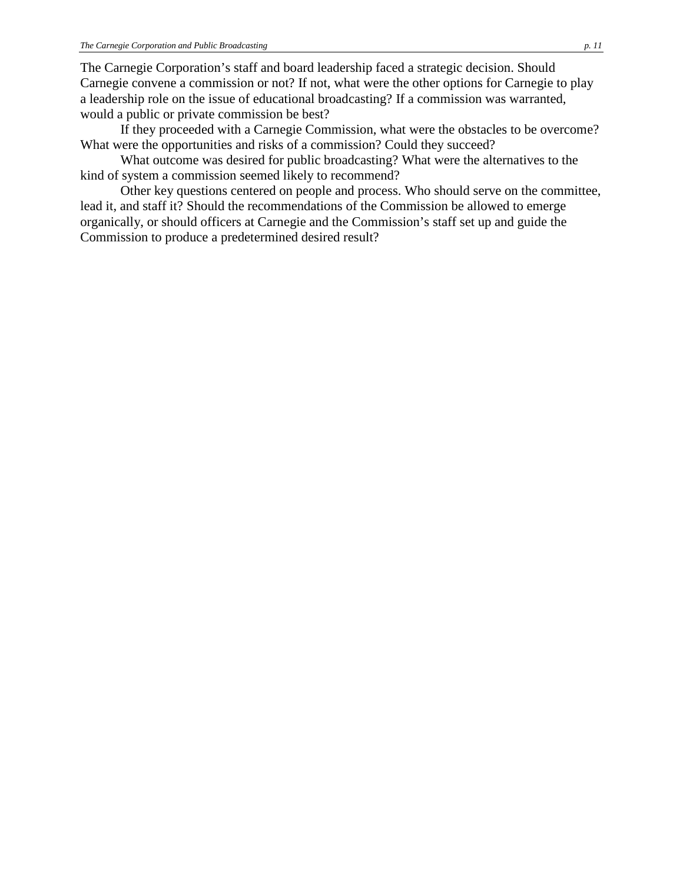The Carnegie Corporation's staff and board leadership faced a strategic decision. Should Carnegie convene a commission or not? If not, what were the other options for Carnegie to play a leadership role on the issue of educational broadcasting? If a commission was warranted, would a public or private commission be best?

If they proceeded with a Carnegie Commission, what were the obstacles to be overcome? What were the opportunities and risks of a commission? Could they succeed?

What outcome was desired for public broadcasting? What were the alternatives to the kind of system a commission seemed likely to recommend?

Other key questions centered on people and process. Who should serve on the committee, lead it, and staff it? Should the recommendations of the Commission be allowed to emerge organically, or should officers at Carnegie and the Commission's staff set up and guide the Commission to produce a predetermined desired result?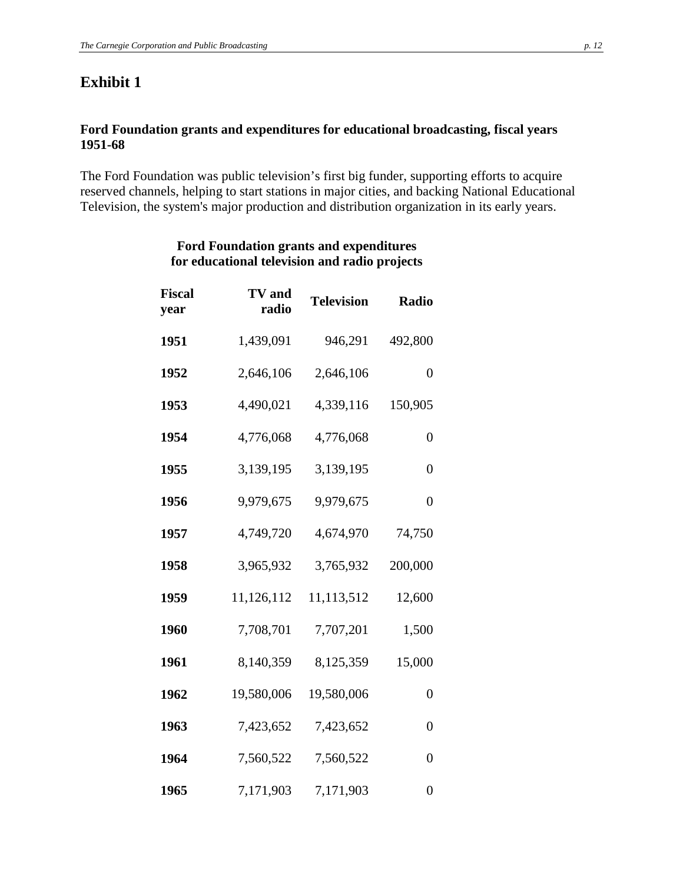# **Exhibit 1**

## **Ford Foundation grants and expenditures for educational broadcasting, fiscal years 1951-68**

The Ford Foundation was public television's first big funder, supporting efforts to acquire reserved channels, helping to start stations in major cities, and backing National Educational Television, the system's major production and distribution organization in its early years.

| Fiscal<br>year | <b>TV</b> and<br>radio | <b>Television</b> | Radio            |
|----------------|------------------------|-------------------|------------------|
| 1951           | 1,439,091              | 946,291           | 492,800          |
| 1952           | 2,646,106              | 2,646,106         | $\boldsymbol{0}$ |
| 1953           | 4,490,021              | 4,339,116         | 150,905          |
| 1954           | 4,776,068              | 4,776,068         | $\overline{0}$   |
| 1955           | 3,139,195              | 3,139,195         | $\boldsymbol{0}$ |
| 1956           | 9,979,675              | 9,979,675         | $\overline{0}$   |
| 1957           | 4,749,720              | 4,674,970         | 74,750           |
| 1958           | 3,965,932              | 3,765,932         | 200,000          |
| 1959           | 11,126,112             | 11,113,512        | 12,600           |
| 1960           | 7,708,701              | 7,707,201         | 1,500            |
| 1961           | 8,140,359              | 8,125,359         | 15,000           |
| 1962           | 19,580,006             | 19,580,006        | $\overline{0}$   |
| 1963           | 7,423,652              | 7,423,652         | $\overline{0}$   |
| 1964           | 7,560,522              | 7,560,522         | $\overline{0}$   |
| 1965           | 7,171,903              | 7,171,903         | $\overline{0}$   |

### **Ford Foundation grants and expenditures for educational television and radio projects**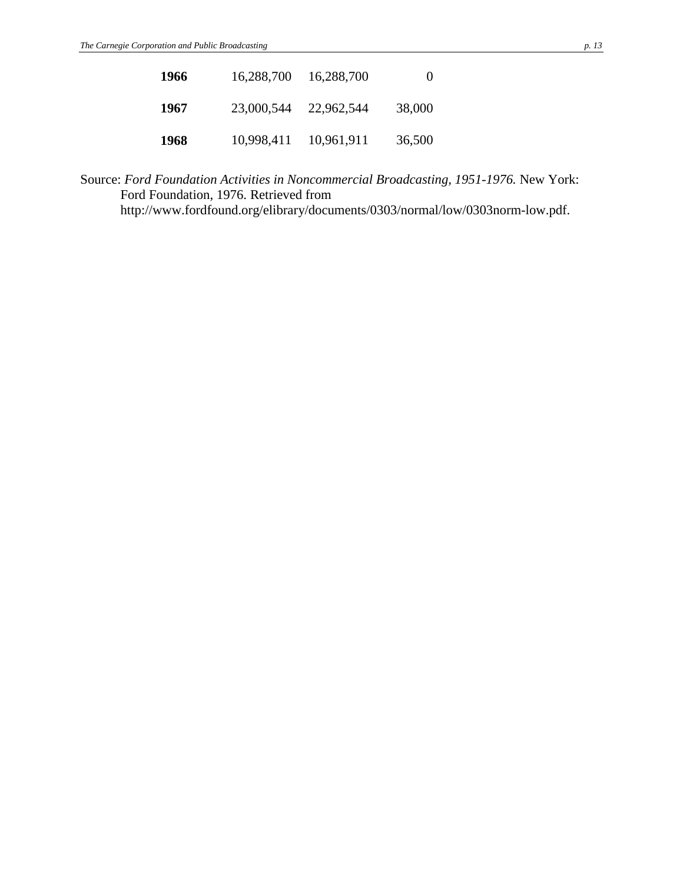| 1966 | 16,288,700 | 16,288,700 | $\theta$ |
|------|------------|------------|----------|
| 1967 | 23,000,544 | 22,962,544 | 38,000   |
| 1968 | 10,998,411 | 10,961,911 | 36,500   |

Source: *Ford Foundation Activities in Noncommercial Broadcasting, 1951-1976.* New York: Ford Foundation, 1976. Retrieved from http://www.fordfound.org/elibrary/documents/0303/normal/low/0303norm-low.pdf.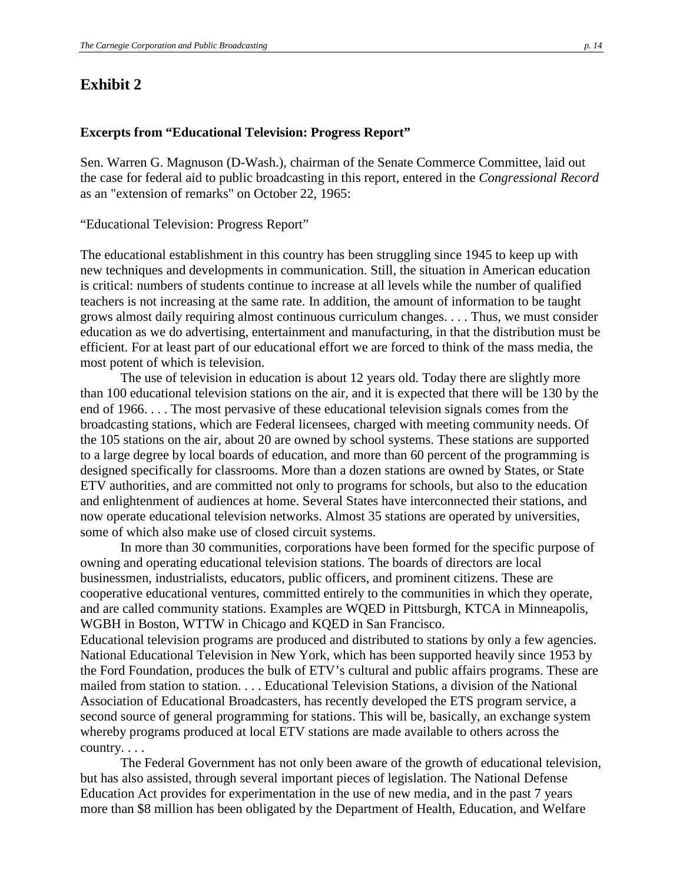## **Exhibit 2**

#### **Excerpts from "Educational Television: Progress Report"**

Sen. Warren G. Magnuson (D-Wash.), chairman of the Senate Commerce Committee, laid out the case for federal aid to public broadcasting in this report, entered in the *Congressional Record* as an "extension of remarks" on October 22, 1965:

"Educational Television: Progress Report"

The educational establishment in this country has been struggling since 1945 to keep up with new techniques and developments in communication. Still, the situation in American education is critical: numbers of students continue to increase at all levels while the number of qualified teachers is not increasing at the same rate. In addition, the amount of information to be taught grows almost daily requiring almost continuous curriculum changes. . . . Thus, we must consider education as we do advertising, entertainment and manufacturing, in that the distribution must be efficient. For at least part of our educational effort we are forced to think of the mass media, the most potent of which is television.

The use of television in education is about 12 years old. Today there are slightly more than 100 educational television stations on the air, and it is expected that there will be 130 by the end of 1966. . . . The most pervasive of these educational television signals comes from the broadcasting stations, which are Federal licensees, charged with meeting community needs. Of the 105 stations on the air, about 20 are owned by school systems. These stations are supported to a large degree by local boards of education, and more than 60 percent of the programming is designed specifically for classrooms. More than a dozen stations are owned by States, or State ETV authorities, and are committed not only to programs for schools, but also to the education and enlightenment of audiences at home. Several States have interconnected their stations, and now operate educational television networks. Almost 35 stations are operated by universities, some of which also make use of closed circuit systems.

In more than 30 communities, corporations have been formed for the specific purpose of owning and operating educational television stations. The boards of directors are local businessmen, industrialists, educators, public officers, and prominent citizens. These are cooperative educational ventures, committed entirely to the communities in which they operate, and are called community stations. Examples are WQED in Pittsburgh, KTCA in Minneapolis, WGBH in Boston, WTTW in Chicago and KQED in San Francisco.

Educational television programs are produced and distributed to stations by only a few agencies. National Educational Television in New York, which has been supported heavily since 1953 by the Ford Foundation, produces the bulk of ETV's cultural and public affairs programs. These are mailed from station to station. . . . Educational Television Stations, a division of the National Association of Educational Broadcasters, has recently developed the ETS program service, a second source of general programming for stations. This will be, basically, an exchange system whereby programs produced at local ETV stations are made available to others across the country. . . .

The Federal Government has not only been aware of the growth of educational television, but has also assisted, through several important pieces of legislation. The National Defense Education Act provides for experimentation in the use of new media, and in the past 7 years more than \$8 million has been obligated by the Department of Health, Education, and Welfare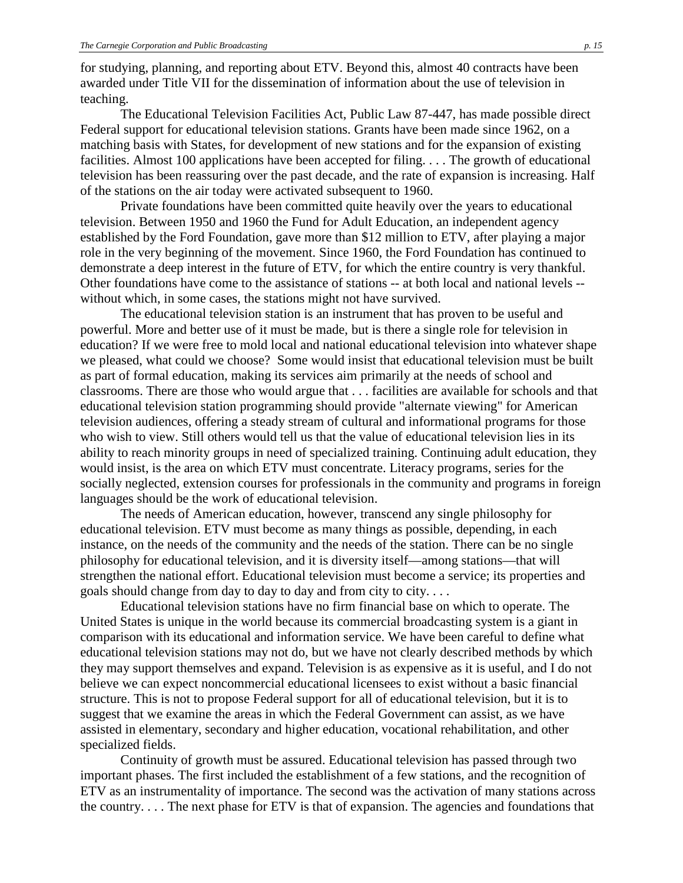for studying, planning, and reporting about ETV. Beyond this, almost 40 contracts have been awarded under Title VII for the dissemination of information about the use of television in teaching.

The Educational Television Facilities Act, Public Law 87-447, has made possible direct Federal support for educational television stations. Grants have been made since 1962, on a matching basis with States, for development of new stations and for the expansion of existing facilities. Almost 100 applications have been accepted for filing. . . . The growth of educational television has been reassuring over the past decade, and the rate of expansion is increasing. Half of the stations on the air today were activated subsequent to 1960.

Private foundations have been committed quite heavily over the years to educational television. Between 1950 and 1960 the Fund for Adult Education, an independent agency established by the Ford Foundation, gave more than \$12 million to ETV, after playing a major role in the very beginning of the movement. Since 1960, the Ford Foundation has continued to demonstrate a deep interest in the future of ETV, for which the entire country is very thankful. Other foundations have come to the assistance of stations -- at both local and national levels - without which, in some cases, the stations might not have survived.

The educational television station is an instrument that has proven to be useful and powerful. More and better use of it must be made, but is there a single role for television in education? If we were free to mold local and national educational television into whatever shape we pleased, what could we choose? Some would insist that educational television must be built as part of formal education, making its services aim primarily at the needs of school and classrooms. There are those who would argue that . . . facilities are available for schools and that educational television station programming should provide "alternate viewing" for American television audiences, offering a steady stream of cultural and informational programs for those who wish to view. Still others would tell us that the value of educational television lies in its ability to reach minority groups in need of specialized training. Continuing adult education, they would insist, is the area on which ETV must concentrate. Literacy programs, series for the socially neglected, extension courses for professionals in the community and programs in foreign languages should be the work of educational television.

The needs of American education, however, transcend any single philosophy for educational television. ETV must become as many things as possible, depending, in each instance, on the needs of the community and the needs of the station. There can be no single philosophy for educational television, and it is diversity itself—among stations—that will strengthen the national effort. Educational television must become a service; its properties and goals should change from day to day to day and from city to city. . . .

Educational television stations have no firm financial base on which to operate. The United States is unique in the world because its commercial broadcasting system is a giant in comparison with its educational and information service. We have been careful to define what educational television stations may not do, but we have not clearly described methods by which they may support themselves and expand. Television is as expensive as it is useful, and I do not believe we can expect noncommercial educational licensees to exist without a basic financial structure. This is not to propose Federal support for all of educational television, but it is to suggest that we examine the areas in which the Federal Government can assist, as we have assisted in elementary, secondary and higher education, vocational rehabilitation, and other specialized fields.

Continuity of growth must be assured. Educational television has passed through two important phases. The first included the establishment of a few stations, and the recognition of ETV as an instrumentality of importance. The second was the activation of many stations across the country. . . . The next phase for ETV is that of expansion. The agencies and foundations that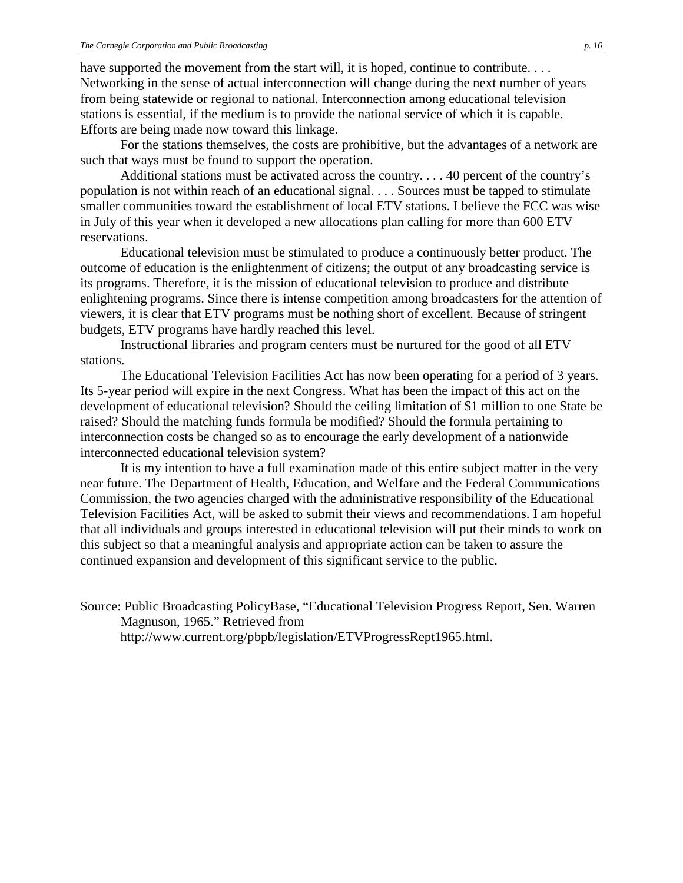have supported the movement from the start will, it is hoped, continue to contribute. . . . Networking in the sense of actual interconnection will change during the next number of years from being statewide or regional to national. Interconnection among educational television stations is essential, if the medium is to provide the national service of which it is capable. Efforts are being made now toward this linkage.

For the stations themselves, the costs are prohibitive, but the advantages of a network are such that ways must be found to support the operation.

Additional stations must be activated across the country. . . . 40 percent of the country's population is not within reach of an educational signal. . . . Sources must be tapped to stimulate smaller communities toward the establishment of local ETV stations. I believe the FCC was wise in July of this year when it developed a new allocations plan calling for more than 600 ETV reservations.

Educational television must be stimulated to produce a continuously better product. The outcome of education is the enlightenment of citizens; the output of any broadcasting service is its programs. Therefore, it is the mission of educational television to produce and distribute enlightening programs. Since there is intense competition among broadcasters for the attention of viewers, it is clear that ETV programs must be nothing short of excellent. Because of stringent budgets, ETV programs have hardly reached this level.

Instructional libraries and program centers must be nurtured for the good of all ETV stations.

The Educational Television Facilities Act has now been operating for a period of 3 years. Its 5-year period will expire in the next Congress. What has been the impact of this act on the development of educational television? Should the ceiling limitation of \$1 million to one State be raised? Should the matching funds formula be modified? Should the formula pertaining to interconnection costs be changed so as to encourage the early development of a nationwide interconnected educational television system?

It is my intention to have a full examination made of this entire subject matter in the very near future. The Department of Health, Education, and Welfare and the Federal Communications Commission, the two agencies charged with the administrative responsibility of the Educational Television Facilities Act, will be asked to submit their views and recommendations. I am hopeful that all individuals and groups interested in educational television will put their minds to work on this subject so that a meaningful analysis and appropriate action can be taken to assure the continued expansion and development of this significant service to the public.

Source: Public Broadcasting PolicyBase, "Educational Television Progress Report, Sen. Warren Magnuson, 1965." Retrieved from

http://www.current.org/pbpb/legislation/ETVProgressRept1965.html.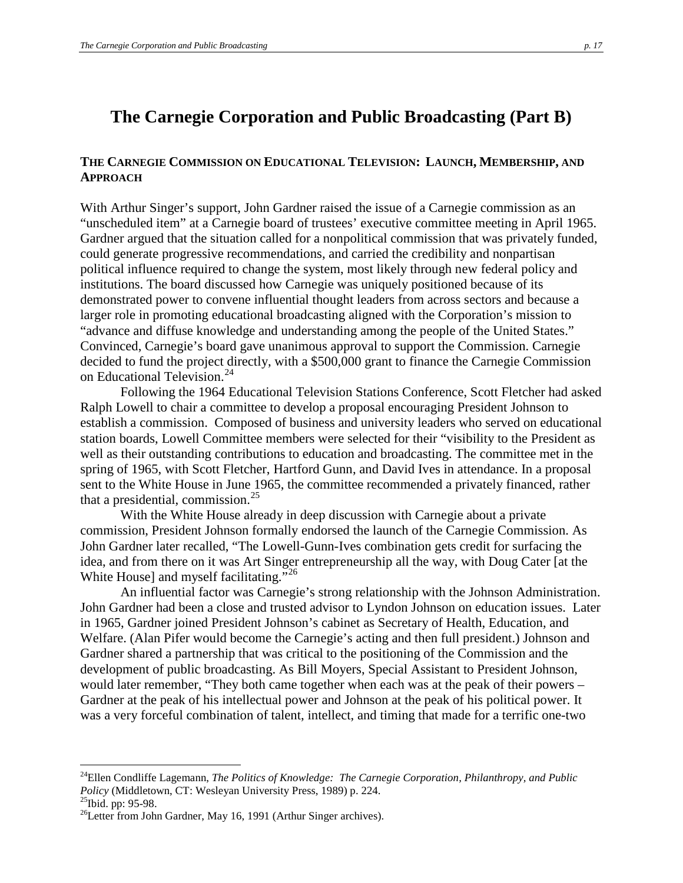# **The Carnegie Corporation and Public Broadcasting (Part B)**

### **THE CARNEGIE COMMISSION ON EDUCATIONAL TELEVISION: LAUNCH, MEMBERSHIP, AND APPROACH**

With Arthur Singer's support, John Gardner raised the issue of a Carnegie commission as an "unscheduled item" at a Carnegie board of trustees' executive committee meeting in April 1965. Gardner argued that the situation called for a nonpolitical commission that was privately funded, could generate progressive recommendations, and carried the credibility and nonpartisan political influence required to change the system, most likely through new federal policy and institutions. The board discussed how Carnegie was uniquely positioned because of its demonstrated power to convene influential thought leaders from across sectors and because a larger role in promoting educational broadcasting aligned with the Corporation's mission to "advance and diffuse knowledge and understanding among the people of the United States." Convinced, Carnegie's board gave unanimous approval to support the Commission. Carnegie decided to fund the project directly, with a \$500,000 grant to finance the Carnegie Commission on Educational Television. [24](#page-16-0)

Following the 1964 Educational Television Stations Conference, Scott Fletcher had asked Ralph Lowell to chair a committee to develop a proposal encouraging President Johnson to establish a commission. Composed of business and university leaders who served on educational station boards, Lowell Committee members were selected for their "visibility to the President as well as their outstanding contributions to education and broadcasting. The committee met in the spring of 1965, with Scott Fletcher, Hartford Gunn, and David Ives in attendance. In a proposal sent to the White House in June 1965, the committee recommended a privately financed, rather that a presidential, commission. $^{25}$  $^{25}$  $^{25}$ 

With the White House already in deep discussion with Carnegie about a private commission, President Johnson formally endorsed the launch of the Carnegie Commission. As John Gardner later recalled, "The Lowell-Gunn-Ives combination gets credit for surfacing the idea, and from there on it was Art Singer entrepreneurship all the way, with Doug Cater [at the White House] and myself facilitating."<sup>[26](#page-16-2)</sup>

An influential factor was Carnegie's strong relationship with the Johnson Administration. John Gardner had been a close and trusted advisor to Lyndon Johnson on education issues. Later in 1965, Gardner joined President Johnson's cabinet as Secretary of Health, Education, and Welfare. (Alan Pifer would become the Carnegie's acting and then full president.) Johnson and Gardner shared a partnership that was critical to the positioning of the Commission and the development of public broadcasting. As Bill Moyers, Special Assistant to President Johnson, would later remember, "They both came together when each was at the peak of their powers – Gardner at the peak of his intellectual power and Johnson at the peak of his political power. It was a very forceful combination of talent, intellect, and timing that made for a terrific one-two

<span id="page-16-0"></span><sup>&</sup>lt;sup>24</sup>Ellen Condliffe Lagemann, *The Politics of Knowledge: The Carnegie Corporation, Philanthropy, and Public Policy (Middletown, CT: Wesleyan University Press, 1989) p. 224.* 

<span id="page-16-2"></span><span id="page-16-1"></span>

<sup>&</sup>lt;sup>25</sup>Ibid. pp: 95-98.<br><sup>26</sup>Letter from John Gardner, May 16, 1991 (Arthur Singer archives).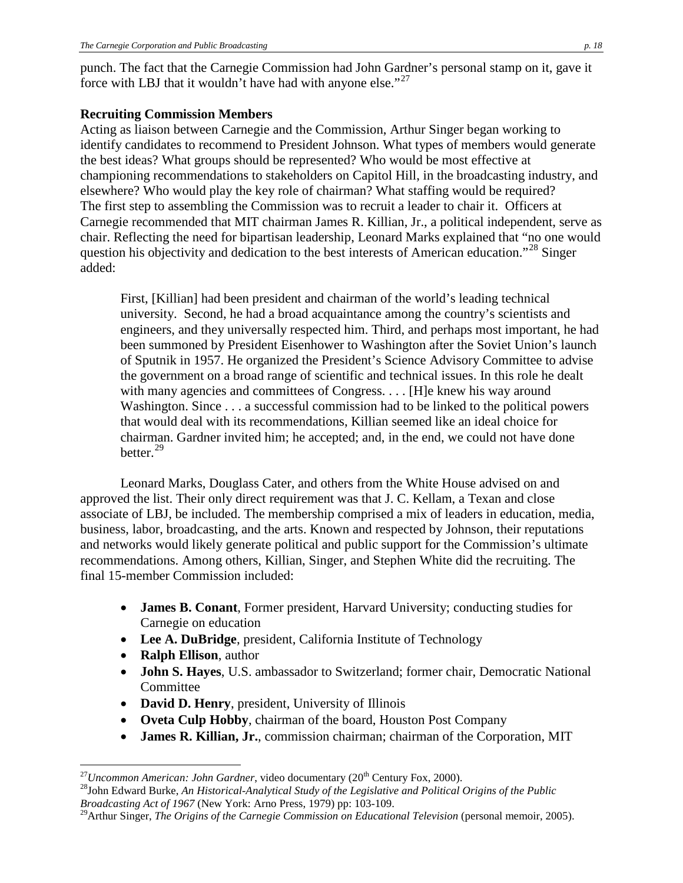punch. The fact that the Carnegie Commission had John Gardner's personal stamp on it, gave it force with LBJ that it wouldn't have had with anyone else."<sup>27</sup>

## **Recruiting Commission Members**

Acting as liaison between Carnegie and the Commission, Arthur Singer began working to identify candidates to recommend to President Johnson. What types of members would generate the best ideas? What groups should be represented? Who would be most effective at championing recommendations to stakeholders on Capitol Hill, in the broadcasting industry, and elsewhere? Who would play the key role of chairman? What staffing would be required? The first step to assembling the Commission was to recruit a leader to chair it. Officers at Carnegie recommended that MIT chairman James R. Killian, Jr., a political independent, serve as chair. Reflecting the need for bipartisan leadership, Leonard Marks explained that "no one would question his objectivity and dedication to the best interests of American education."[28](#page-17-1) Singer added:

First, [Killian] had been president and chairman of the world's leading technical university. Second, he had a broad acquaintance among the country's scientists and engineers, and they universally respected him. Third, and perhaps most important, he had been summoned by President Eisenhower to Washington after the Soviet Union's launch of Sputnik in 1957. He organized the President's Science Advisory Committee to advise the government on a broad range of scientific and technical issues. In this role he dealt with many agencies and committees of Congress. . . . [H]e knew his way around Washington. Since . . . a successful commission had to be linked to the political powers that would deal with its recommendations, Killian seemed like an ideal choice for chairman. Gardner invited him; he accepted; and, in the end, we could not have done better.[29](#page-17-2)

Leonard Marks, Douglass Cater, and others from the White House advised on and approved the list. Their only direct requirement was that J. C. Kellam, a Texan and close associate of LBJ, be included. The membership comprised a mix of leaders in education, media, business, labor, broadcasting, and the arts. Known and respected by Johnson, their reputations and networks would likely generate political and public support for the Commission's ultimate recommendations. Among others, Killian, Singer, and Stephen White did the recruiting. The final 15-member Commission included:

- **James B. Conant**, Former president, Harvard University; conducting studies for Carnegie on education
- **Lee A. DuBridge**, president, California Institute of Technology
- **Ralph Ellison**, author
- **John S. Hayes**, U.S. ambassador to Switzerland; former chair, Democratic National Committee
- **David D. Henry**, president, University of Illinois
- **Oveta Culp Hobby**, chairman of the board, Houston Post Company
- **James R. Killian, Jr.**, commission chairman; chairman of the Corporation, MIT

<span id="page-17-1"></span><span id="page-17-0"></span><sup>&</sup>lt;sup>27</sup> Uncommon American: John Gardner, video documentary (20<sup>th</sup> Century Fox, 2000).<br><sup>28</sup>John Edward Burke, *An Historical-Analytical Study of the Legislative and Political Origins of the Public Broadcasting Act of 1967* (New York: Arno Press, 1979) pp: 103-109.

<span id="page-17-2"></span><sup>&</sup>lt;sup>29</sup>Arthur Singer, *The Origins of the Carnegie Commission on Educational Television* (personal memoir, 2005).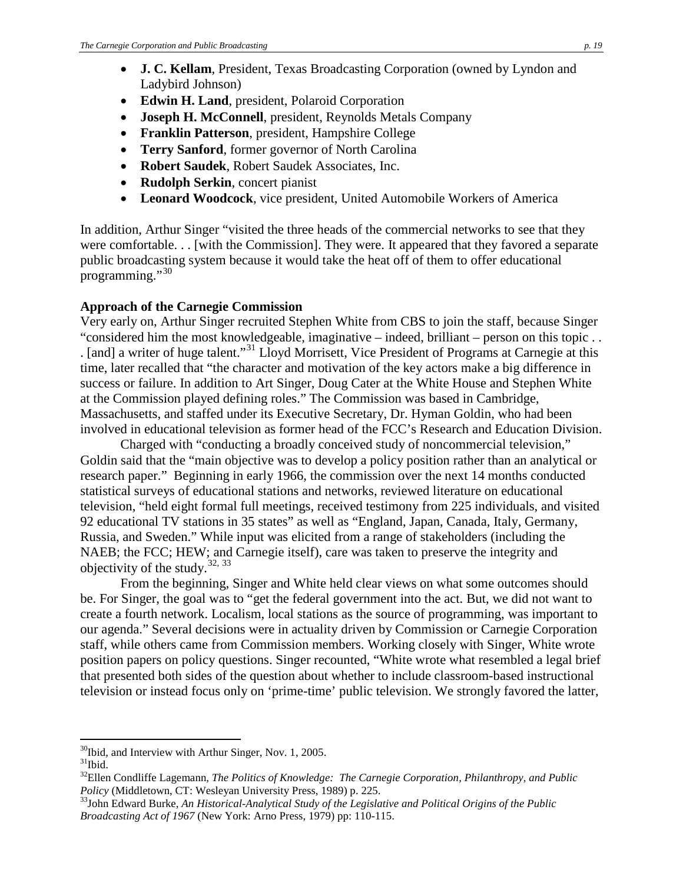- **Edwin H. Land**, president, Polaroid Corporation
- **Joseph H. McConnell**, president, Reynolds Metals Company
- **Franklin Patterson**, president, Hampshire College
- **Terry Sanford**, former governor of North Carolina
- **Robert Saudek**, Robert Saudek Associates, Inc.
- **Rudolph Serkin**, concert pianist
- **Leonard Woodcock**, vice president, United Automobile Workers of America

In addition, Arthur Singer "visited the three heads of the commercial networks to see that they were comfortable. . . [with the Commission]. They were. It appeared that they favored a separate public broadcasting system because it would take the heat off of them to offer educational programming."<sup>[30](#page-18-0)</sup>

## **Approach of the Carnegie Commission**

Very early on, Arthur Singer recruited Stephen White from CBS to join the staff, because Singer "considered him the most knowledgeable, imaginative – indeed, brilliant – person on this topic . . . [and] a writer of huge talent."<sup>[31](#page-18-1)</sup> Lloyd Morrisett, Vice President of Programs at Carnegie at this time, later recalled that "the character and motivation of the key actors make a big difference in success or failure. In addition to Art Singer, Doug Cater at the White House and Stephen White at the Commission played defining roles." The Commission was based in Cambridge, Massachusetts, and staffed under its Executive Secretary, Dr. Hyman Goldin, who had been involved in educational television as former head of the FCC's Research and Education Division.

Charged with "conducting a broadly conceived study of noncommercial television," Goldin said that the "main objective was to develop a policy position rather than an analytical or research paper." Beginning in early 1966, the commission over the next 14 months conducted statistical surveys of educational stations and networks, reviewed literature on educational television, "held eight formal full meetings, received testimony from 225 individuals, and visited 92 educational TV stations in 35 states" as well as "England, Japan, Canada, Italy, Germany, Russia, and Sweden." While input was elicited from a range of stakeholders (including the NAEB; the FCC; HEW; and Carnegie itself), care was taken to preserve the integrity and objectivity of the study. $32, 33$  $32, 33$  $32, 33$ 

From the beginning, Singer and White held clear views on what some outcomes should be. For Singer, the goal was to "get the federal government into the act. But, we did not want to create a fourth network. Localism, local stations as the source of programming, was important to our agenda." Several decisions were in actuality driven by Commission or Carnegie Corporation staff, while others came from Commission members. Working closely with Singer, White wrote position papers on policy questions. Singer recounted, "White wrote what resembled a legal brief that presented both sides of the question about whether to include classroom-based instructional television or instead focus only on 'prime-time' public television. We strongly favored the latter,

<span id="page-18-1"></span><span id="page-18-0"></span> $30$ Ibid, and Interview with Arthur Singer, Nov. 1, 2005.  $31$ Ibid.

<span id="page-18-2"></span><sup>&</sup>lt;sup>32</sup>Ellen Condliffe Lagemann, *The Politics of Knowledge: The Carnegie Corporation, Philanthropy, and Public Policy (Middletown, CT: Wesleyan University Press, 1989) p. 225.* 

<span id="page-18-3"></span><sup>&</sup>lt;sup>33</sup>John Edward Burke, *An Historical-Analytical Study of the Legislative and Political Origins of the Public Broadcasting Act of 1967* (New York: Arno Press, 1979) pp: 110-115.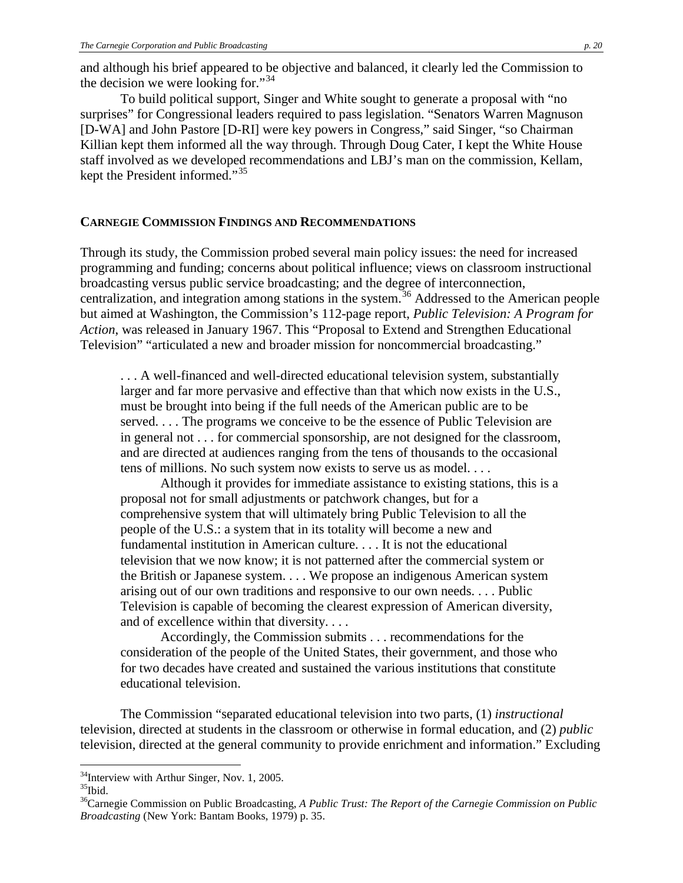and although his brief appeared to be objective and balanced, it clearly led the Commission to the decision we were looking for."<sup>[34](#page-19-0)</sup>

To build political support, Singer and White sought to generate a proposal with "no surprises" for Congressional leaders required to pass legislation. "Senators Warren Magnuson [D-WA] and John Pastore [D-RI] were key powers in Congress," said Singer, "so Chairman Killian kept them informed all the way through. Through Doug Cater, I kept the White House staff involved as we developed recommendations and LBJ's man on the commission, Kellam, kept the President informed."[35](#page-19-1)

#### **CARNEGIE COMMISSION FINDINGS AND RECOMMENDATIONS**

Through its study, the Commission probed several main policy issues: the need for increased programming and funding; concerns about political influence; views on classroom instructional broadcasting versus public service broadcasting; and the degree of interconnection, centralization, and integration among stations in the system.<sup>[36](#page-19-2)</sup> Addressed to the American people but aimed at Washington, the Commission's 112-page report, *Public Television: A Program for Action*, was released in January 1967. This "Proposal to Extend and Strengthen Educational Television" "articulated a new and broader mission for noncommercial broadcasting."

. . . A well-financed and well-directed educational television system, substantially larger and far more pervasive and effective than that which now exists in the U.S., must be brought into being if the full needs of the American public are to be served. . . . The programs we conceive to be the essence of Public Television are in general not . . . for commercial sponsorship, are not designed for the classroom, and are directed at audiences ranging from the tens of thousands to the occasional tens of millions. No such system now exists to serve us as model. . . .

Although it provides for immediate assistance to existing stations, this is a proposal not for small adjustments or patchwork changes, but for a comprehensive system that will ultimately bring Public Television to all the people of the U.S.: a system that in its totality will become a new and fundamental institution in American culture. . . . It is not the educational television that we now know; it is not patterned after the commercial system or the British or Japanese system. . . . We propose an indigenous American system arising out of our own traditions and responsive to our own needs. . . . Public Television is capable of becoming the clearest expression of American diversity, and of excellence within that diversity. . . .

Accordingly, the Commission submits . . . recommendations for the consideration of the people of the United States, their government, and those who for two decades have created and sustained the various institutions that constitute educational television.

The Commission "separated educational television into two parts, (1) *instructional*  television, directed at students in the classroom or otherwise in formal education, and (2) *public*  television, directed at the general community to provide enrichment and information." Excluding

<span id="page-19-0"></span> $34$ Interview with Arthur Singer, Nov. 1, 2005.<br> $35$ Ibid.

<span id="page-19-1"></span>

<span id="page-19-2"></span><sup>&</sup>lt;sup>36</sup>Carnegie Commission on Public Broadcasting, *A Public Trust: The Report of the Carnegie Commission on Public Broadcasting* (New York: Bantam Books, 1979) p. 35.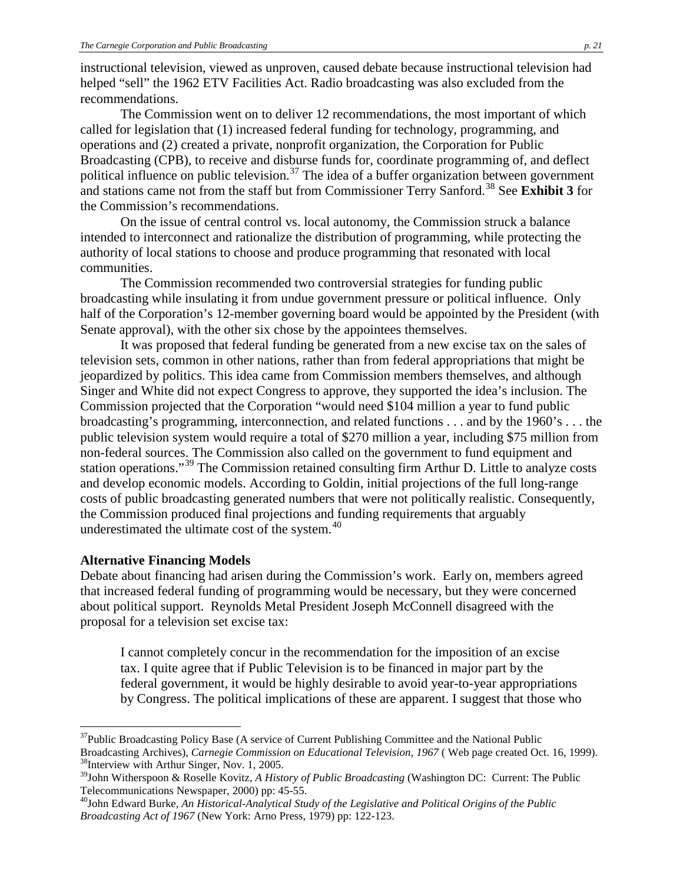instructional television, viewed as unproven, caused debate because instructional television had helped "sell" the 1962 ETV Facilities Act. Radio broadcasting was also excluded from the recommendations.

The Commission went on to deliver 12 recommendations, the most important of which called for legislation that (1) increased federal funding for technology, programming, and operations and (2) created a private, nonprofit organization, the Corporation for Public Broadcasting (CPB), to receive and disburse funds for, coordinate programming of, and deflect political influence on public television.<sup>[37](#page-20-0)</sup> The idea of a buffer organization between government and stations came not from the staff but from Commissioner Terry Sanford.<sup>[38](#page-20-1)</sup> See Exhibit 3 for the Commission's recommendations.

On the issue of central control vs. local autonomy, the Commission struck a balance intended to interconnect and rationalize the distribution of programming, while protecting the authority of local stations to choose and produce programming that resonated with local communities.

The Commission recommended two controversial strategies for funding public broadcasting while insulating it from undue government pressure or political influence. Only half of the Corporation's 12-member governing board would be appointed by the President (with Senate approval), with the other six chose by the appointees themselves.

It was proposed that federal funding be generated from a new excise tax on the sales of television sets, common in other nations, rather than from federal appropriations that might be jeopardized by politics. This idea came from Commission members themselves, and although Singer and White did not expect Congress to approve, they supported the idea's inclusion. The Commission projected that the Corporation "would need \$104 million a year to fund public broadcasting's programming, interconnection, and related functions . . . and by the 1960's . . . the public television system would require a total of \$270 million a year, including \$75 million from non-federal sources. The Commission also called on the government to fund equipment and station operations."[39](#page-20-2) The Commission retained consulting firm Arthur D. Little to analyze costs and develop economic models. According to Goldin, initial projections of the full long-range costs of public broadcasting generated numbers that were not politically realistic. Consequently, the Commission produced final projections and funding requirements that arguably underestimated the ultimate cost of the system.<sup>[40](#page-20-3)</sup>

### **Alternative Financing Models**

Debate about financing had arisen during the Commission's work. Early on, members agreed that increased federal funding of programming would be necessary, but they were concerned about political support. Reynolds Metal President Joseph McConnell disagreed with the proposal for a television set excise tax:

I cannot completely concur in the recommendation for the imposition of an excise tax. I quite agree that if Public Television is to be financed in major part by the federal government, it would be highly desirable to avoid year-to-year appropriations by Congress. The political implications of these are apparent. I suggest that those who

<span id="page-20-0"></span><sup>&</sup>lt;sup>37</sup>Public Broadcasting Policy Base (A service of Current Publishing Committee and the National Public Broadcasting Archives), *Carnegie Commission on Educational Television, 1967* (Web page created Oct. 16, 1999). <sup>38</sup>Interview with Arthur Singer, Nov. 1, 2005.

<span id="page-20-2"></span><span id="page-20-1"></span><sup>&</sup>lt;sup>39</sup>John Witherspoon & Roselle Kovitz, *A History of Public Broadcasting* (Washington DC: Current: The Public Telecommunications Newspaper, 2000) pp: 45-55.

<span id="page-20-3"></span><sup>&</sup>lt;sup>40</sup>John Edward Burke, *An Historical-Analytical Study of the Legislative and Political Origins of the Public Broadcasting Act of 1967* (New York: Arno Press, 1979) pp: 122-123.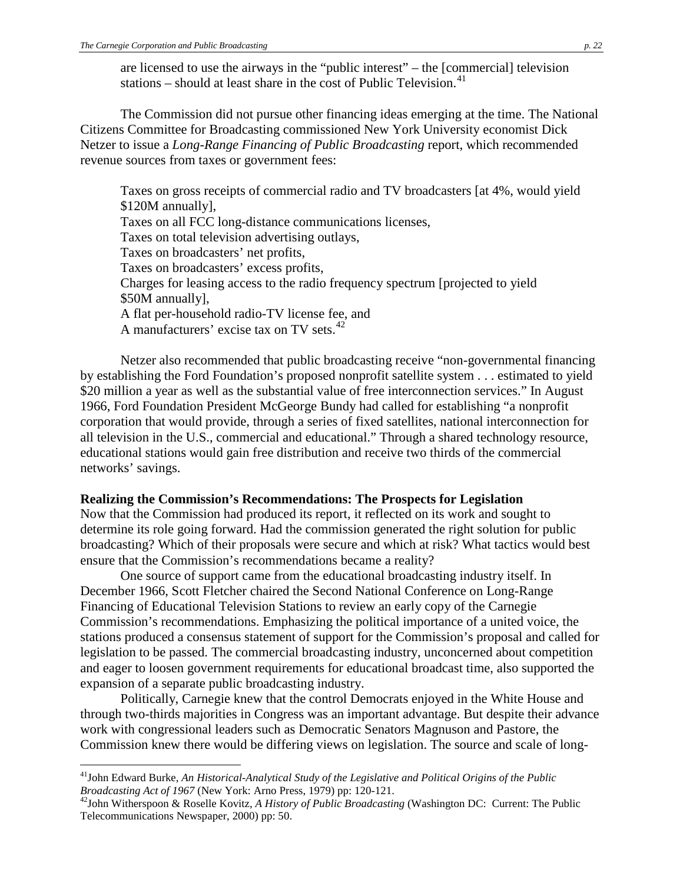are licensed to use the airways in the "public interest" – the [commercial] television stations – should at least share in the cost of Public Television.<sup>[41](#page-21-0)</sup>

The Commission did not pursue other financing ideas emerging at the time. The National Citizens Committee for Broadcasting commissioned New York University economist Dick Netzer to issue a *Long-Range Financing of Public Broadcasting* report, which recommended revenue sources from taxes or government fees:

Taxes on gross receipts of commercial radio and TV broadcasters [at 4%, would yield \$120M annually], Taxes on all FCC long-distance communications licenses, Taxes on total television advertising outlays, Taxes on broadcasters' net profits, Taxes on broadcasters' excess profits, Charges for leasing access to the radio frequency spectrum [projected to yield \$50M annually], A flat per-household radio-TV license fee, and A manufacturers' excise tax on TV sets. $^{42}$  $^{42}$  $^{42}$ 

Netzer also recommended that public broadcasting receive "non-governmental financing by establishing the Ford Foundation's proposed nonprofit satellite system . . . estimated to yield \$20 million a year as well as the substantial value of free interconnection services." In August 1966, Ford Foundation President McGeorge Bundy had called for establishing "a nonprofit corporation that would provide, through a series of fixed satellites, national interconnection for all television in the U.S., commercial and educational." Through a shared technology resource, educational stations would gain free distribution and receive two thirds of the commercial networks' savings.

#### **Realizing the Commission's Recommendations: The Prospects for Legislation**

Now that the Commission had produced its report, it reflected on its work and sought to determine its role going forward. Had the commission generated the right solution for public broadcasting? Which of their proposals were secure and which at risk? What tactics would best ensure that the Commission's recommendations became a reality?

One source of support came from the educational broadcasting industry itself. In December 1966, Scott Fletcher chaired the Second National Conference on Long-Range Financing of Educational Television Stations to review an early copy of the Carnegie Commission's recommendations. Emphasizing the political importance of a united voice, the stations produced a consensus statement of support for the Commission's proposal and called for legislation to be passed. The commercial broadcasting industry, unconcerned about competition and eager to loosen government requirements for educational broadcast time, also supported the expansion of a separate public broadcasting industry.

Politically, Carnegie knew that the control Democrats enjoyed in the White House and through two-thirds majorities in Congress was an important advantage. But despite their advance work with congressional leaders such as Democratic Senators Magnuson and Pastore, the Commission knew there would be differing views on legislation. The source and scale of long-

<span id="page-21-0"></span><sup>&</sup>lt;sup>41</sup>John Edward Burke, *An Historical-Analytical Study of the Legislative and Political Origins of the Public Broadcasting Act of 1967 (New York: Arno Press, 1979) pp: 120-121.* 

<span id="page-21-1"></span><sup>&</sup>lt;sup>42</sup>John Witherspoon & Roselle Kovitz, *A History of Public Broadcasting* (Washington DC: Current: The Public Telecommunications Newspaper, 2000) pp: 50.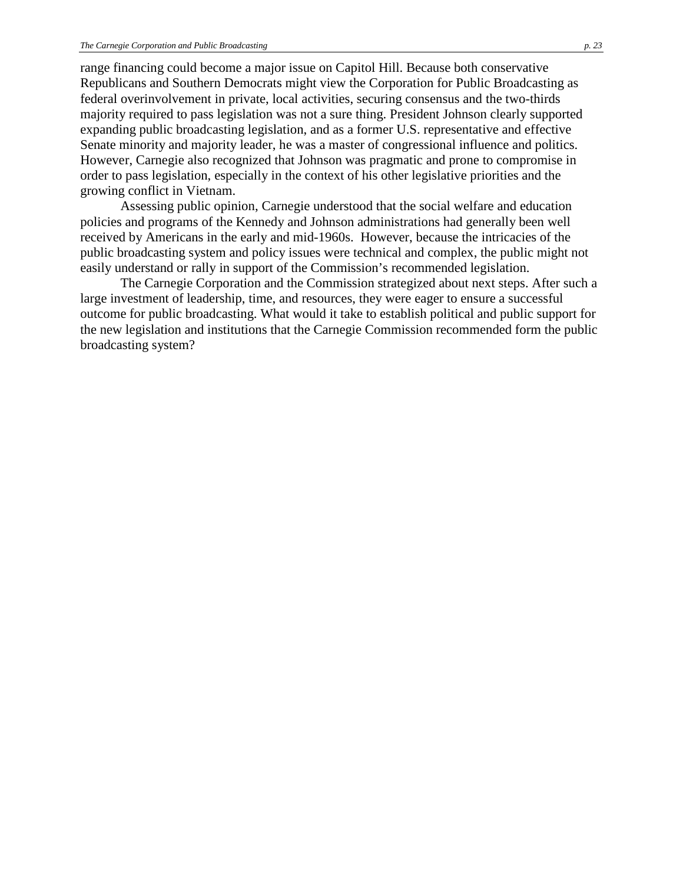range financing could become a major issue on Capitol Hill. Because both conservative Republicans and Southern Democrats might view the Corporation for Public Broadcasting as federal overinvolvement in private, local activities, securing consensus and the two-thirds majority required to pass legislation was not a sure thing. President Johnson clearly supported expanding public broadcasting legislation, and as a former U.S. representative and effective Senate minority and majority leader, he was a master of congressional influence and politics. However, Carnegie also recognized that Johnson was pragmatic and prone to compromise in order to pass legislation, especially in the context of his other legislative priorities and the growing conflict in Vietnam.

Assessing public opinion, Carnegie understood that the social welfare and education policies and programs of the Kennedy and Johnson administrations had generally been well received by Americans in the early and mid-1960s. However, because the intricacies of the public broadcasting system and policy issues were technical and complex, the public might not easily understand or rally in support of the Commission's recommended legislation.

The Carnegie Corporation and the Commission strategized about next steps. After such a large investment of leadership, time, and resources, they were eager to ensure a successful outcome for public broadcasting. What would it take to establish political and public support for the new legislation and institutions that the Carnegie Commission recommended form the public broadcasting system?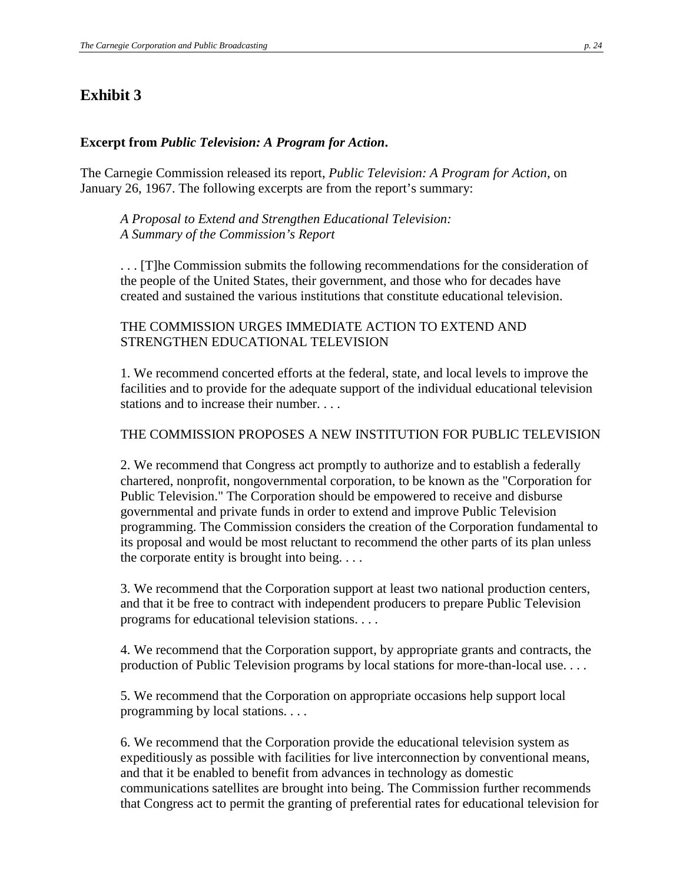## **Exhibit 3**

### **Excerpt from** *Public Television: A Program for Action***.**

The Carnegie Commission released its report, *Public Television: A Program for Action*, on January 26, 1967. The following excerpts are from the report's summary:

*A Proposal to Extend and Strengthen Educational Television: A Summary of the Commission's Report*

. . . [T]he Commission submits the following recommendations for the consideration of the people of the United States, their government, and those who for decades have created and sustained the various institutions that constitute educational television.

### THE COMMISSION URGES IMMEDIATE ACTION TO EXTEND AND STRENGTHEN EDUCATIONAL TELEVISION

1. We recommend concerted efforts at the federal, state, and local levels to improve the facilities and to provide for the adequate support of the individual educational television stations and to increase their number. . . .

### THE COMMISSION PROPOSES A NEW INSTITUTION FOR PUBLIC TELEVISION

2. We recommend that Congress act promptly to authorize and to establish a federally chartered, nonprofit, nongovernmental corporation, to be known as the "Corporation for Public Television." The Corporation should be empowered to receive and disburse governmental and private funds in order to extend and improve Public Television programming. The Commission considers the creation of the Corporation fundamental to its proposal and would be most reluctant to recommend the other parts of its plan unless the corporate entity is brought into being.  $\dots$ 

3. We recommend that the Corporation support at least two national production centers, and that it be free to contract with independent producers to prepare Public Television programs for educational television stations. . . .

4. We recommend that the Corporation support, by appropriate grants and contracts, the production of Public Television programs by local stations for more-than-local use. . . .

5. We recommend that the Corporation on appropriate occasions help support local programming by local stations. . . .

6. We recommend that the Corporation provide the educational television system as expeditiously as possible with facilities for live interconnection by conventional means, and that it be enabled to benefit from advances in technology as domestic communications satellites are brought into being. The Commission further recommends that Congress act to permit the granting of preferential rates for educational television for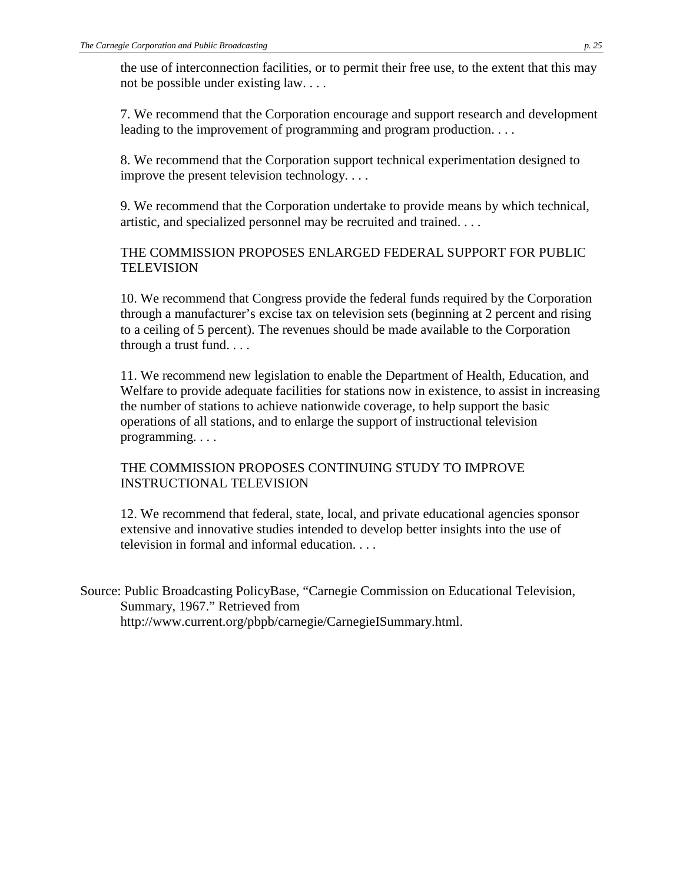the use of interconnection facilities, or to permit their free use, to the extent that this may not be possible under existing law. . . .

7. We recommend that the Corporation encourage and support research and development leading to the improvement of programming and program production. . . .

8. We recommend that the Corporation support technical experimentation designed to improve the present television technology. . . .

9. We recommend that the Corporation undertake to provide means by which technical, artistic, and specialized personnel may be recruited and trained. . . .

## THE COMMISSION PROPOSES ENLARGED FEDERAL SUPPORT FOR PUBLIC TELEVISION

10. We recommend that Congress provide the federal funds required by the Corporation through a manufacturer's excise tax on television sets (beginning at 2 percent and rising to a ceiling of 5 percent). The revenues should be made available to the Corporation through a trust fund. . . .

11. We recommend new legislation to enable the Department of Health, Education, and Welfare to provide adequate facilities for stations now in existence, to assist in increasing the number of stations to achieve nationwide coverage, to help support the basic operations of all stations, and to enlarge the support of instructional television programming. . . .

### THE COMMISSION PROPOSES CONTINUING STUDY TO IMPROVE INSTRUCTIONAL TELEVISION

12. We recommend that federal, state, local, and private educational agencies sponsor extensive and innovative studies intended to develop better insights into the use of television in formal and informal education. . . .

Source: Public Broadcasting PolicyBase, "Carnegie Commission on Educational Television, Summary, 1967." Retrieved from http://www.current.org/pbpb/carnegie/CarnegieISummary.html.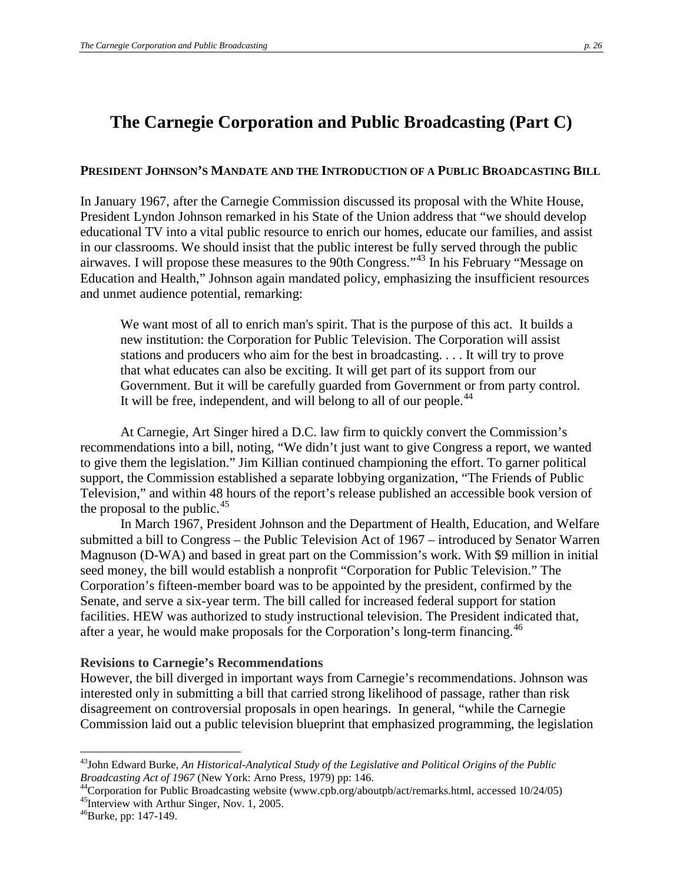# **The Carnegie Corporation and Public Broadcasting (Part C)**

#### **PRESIDENT JOHNSON'S MANDATE AND THE INTRODUCTION OF A PUBLIC BROADCASTING BILL**

In January 1967, after the Carnegie Commission discussed its proposal with the White House, President Lyndon Johnson remarked in his State of the Union address that "we should develop educational TV into a vital public resource to enrich our homes, educate our families, and assist in our classrooms. We should insist that the public interest be fully served through the public airwaves. I will propose these measures to the 90th Congress."[43](#page-25-0) In his February "Message on Education and Health," Johnson again mandated policy, emphasizing the insufficient resources and unmet audience potential, remarking:

We want most of all to enrich man's spirit. That is the purpose of this act. It builds a new institution: the Corporation for Public Television. The Corporation will assist stations and producers who aim for the best in broadcasting. . . . It will try to prove that what educates can also be exciting. It will get part of its support from our Government. But it will be carefully guarded from Government or from party control. It will be free, independent, and will belong to all of our people.<sup>[44](#page-25-1)</sup>

At Carnegie, Art Singer hired a D.C. law firm to quickly convert the Commission's recommendations into a bill, noting, "We didn't just want to give Congress a report, we wanted to give them the legislation." Jim Killian continued championing the effort. To garner political support, the Commission established a separate lobbying organization, "The Friends of Public Television," and within 48 hours of the report's release published an accessible book version of the proposal to the public. $45$ 

In March 1967, President Johnson and the Department of Health, Education, and Welfare submitted a bill to Congress – the Public Television Act of 1967 – introduced by Senator Warren Magnuson (D-WA) and based in great part on the Commission's work. With \$9 million in initial seed money, the bill would establish a nonprofit "Corporation for Public Television." The Corporation's fifteen-member board was to be appointed by the president, confirmed by the Senate, and serve a six-year term. The bill called for increased federal support for station facilities. HEW was authorized to study instructional television. The President indicated that, after a year, he would make proposals for the Corporation's long-term financing.<sup>[46](#page-25-3)</sup>

#### **Revisions to Carnegie's Recommendations**

However, the bill diverged in important ways from Carnegie's recommendations. Johnson was interested only in submitting a bill that carried strong likelihood of passage, rather than risk disagreement on controversial proposals in open hearings. In general, "while the Carnegie Commission laid out a public television blueprint that emphasized programming, the legislation

<span id="page-25-0"></span> <sup>43</sup>John Edward Burke, *An Historical-Analytical Study of the Legislative and Political Origins of the Public Broadcasting Act of 1967* (New York: Arno Press, 1979) pp: 146.<br><sup>44</sup>Corporation for Public Broadcasting website (www.cpb.org/aboutpb/act/remarks.html, accessed 10/24/05)

<span id="page-25-3"></span><span id="page-25-2"></span><span id="page-25-1"></span> $^{45}$ Interview with Arthur Singer, Nov. 1, 2005.<br> $^{46}$ Burke, pp: 147-149.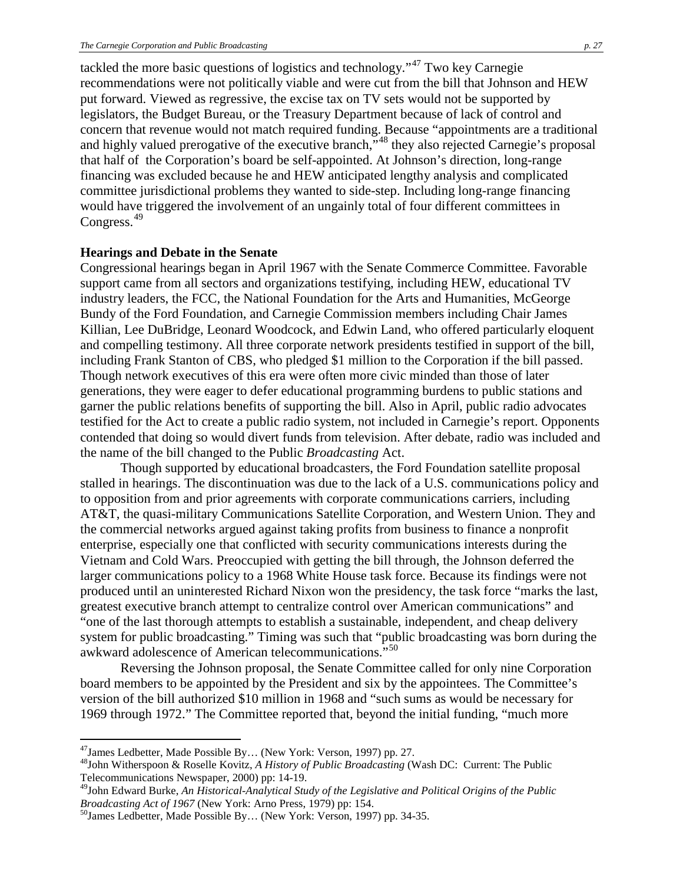tackled the more basic questions of logistics and technology."[47](#page-26-0) Two key Carnegie recommendations were not politically viable and were cut from the bill that Johnson and HEW put forward. Viewed as regressive, the excise tax on TV sets would not be supported by legislators, the Budget Bureau, or the Treasury Department because of lack of control and concern that revenue would not match required funding. Because "appointments are a traditional and highly valued prerogative of the executive branch,"[48](#page-26-1) they also rejected Carnegie's proposal that half of the Corporation's board be self-appointed. At Johnson's direction, long-range financing was excluded because he and HEW anticipated lengthy analysis and complicated committee jurisdictional problems they wanted to side-step. Including long-range financing would have triggered the involvement of an ungainly total of four different committees in Congress.<sup>[49](#page-26-2)</sup>

#### **Hearings and Debate in the Senate**

Congressional hearings began in April 1967 with the Senate Commerce Committee. Favorable support came from all sectors and organizations testifying, including HEW, educational TV industry leaders, the FCC, the National Foundation for the Arts and Humanities, McGeorge Bundy of the Ford Foundation, and Carnegie Commission members including Chair James Killian, Lee DuBridge, Leonard Woodcock, and Edwin Land, who offered particularly eloquent and compelling testimony. All three corporate network presidents testified in support of the bill, including Frank Stanton of CBS, who pledged \$1 million to the Corporation if the bill passed. Though network executives of this era were often more civic minded than those of later generations, they were eager to defer educational programming burdens to public stations and garner the public relations benefits of supporting the bill. Also in April, public radio advocates testified for the Act to create a public radio system, not included in Carnegie's report. Opponents contended that doing so would divert funds from television. After debate, radio was included and the name of the bill changed to the Public *Broadcasting* Act.

Though supported by educational broadcasters, the Ford Foundation satellite proposal stalled in hearings. The discontinuation was due to the lack of a U.S. communications policy and to opposition from and prior agreements with corporate communications carriers, including AT&T, the quasi-military Communications Satellite Corporation, and Western Union. They and the commercial networks argued against taking profits from business to finance a nonprofit enterprise, especially one that conflicted with security communications interests during the Vietnam and Cold Wars. Preoccupied with getting the bill through, the Johnson deferred the larger communications policy to a 1968 White House task force. Because its findings were not produced until an uninterested Richard Nixon won the presidency, the task force "marks the last, greatest executive branch attempt to centralize control over American communications" and "one of the last thorough attempts to establish a sustainable, independent, and cheap delivery system for public broadcasting." Timing was such that "public broadcasting was born during the awkward adolescence of American telecommunications."<sup>[50](#page-26-3)</sup>

Reversing the Johnson proposal, the Senate Committee called for only nine Corporation board members to be appointed by the President and six by the appointees. The Committee's version of the bill authorized \$10 million in 1968 and "such sums as would be necessary for 1969 through 1972." The Committee reported that, beyond the initial funding, "much more

<span id="page-26-0"></span> <sup>47</sup>James Ledbetter, Made Possible By… (New York: Verson, 1997) pp. 27.

<span id="page-26-1"></span><sup>48</sup>John Witherspoon & Roselle Kovitz, *A History of Public Broadcasting* (Wash DC: Current: The Public Telecommunications Newspaper, 2000) pp: 14-19.

<span id="page-26-2"></span><sup>&</sup>lt;sup>49</sup>John Edward Burke, *An Historical-Analytical Study of the Legislative and Political Origins of the Public <i>Broadcasting Act of 1967* (New York: Arno Press, 1979) pp: 154.

<span id="page-26-3"></span><sup>&</sup>lt;sup>50</sup>James Ledbetter, Made Possible By... (New York: Verson, 1997) pp. 34-35.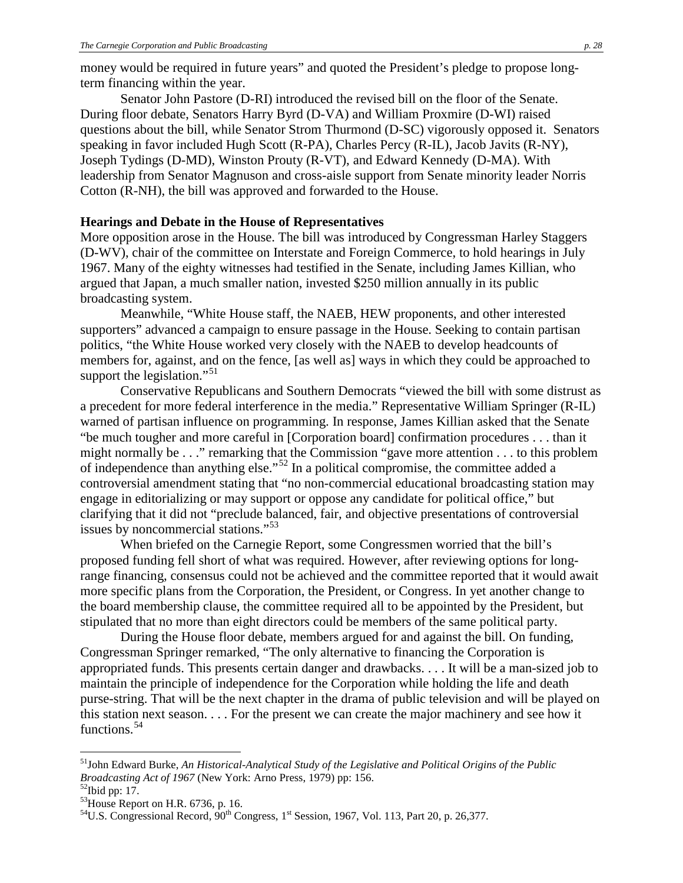money would be required in future years" and quoted the President's pledge to propose longterm financing within the year.

Senator John Pastore (D-RI) introduced the revised bill on the floor of the Senate. During floor debate, Senators Harry Byrd (D-VA) and William Proxmire (D-WI) raised questions about the bill, while Senator Strom Thurmond (D-SC) vigorously opposed it. Senators speaking in favor included Hugh Scott (R-PA), Charles Percy (R-IL), Jacob Javits (R-NY), Joseph Tydings (D-MD), Winston Prouty (R-VT), and Edward Kennedy (D-MA). With leadership from Senator Magnuson and cross-aisle support from Senate minority leader Norris Cotton (R-NH), the bill was approved and forwarded to the House.

#### **Hearings and Debate in the House of Representatives**

More opposition arose in the House. The bill was introduced by Congressman Harley Staggers (D-WV), chair of the committee on Interstate and Foreign Commerce, to hold hearings in July 1967. Many of the eighty witnesses had testified in the Senate, including James Killian, who argued that Japan, a much smaller nation, invested \$250 million annually in its public broadcasting system.

Meanwhile, "White House staff, the NAEB, HEW proponents, and other interested supporters" advanced a campaign to ensure passage in the House. Seeking to contain partisan politics, "the White House worked very closely with the NAEB to develop headcounts of members for, against, and on the fence, [as well as] ways in which they could be approached to support the legislation."<sup>[51](#page-27-0)</sup>

Conservative Republicans and Southern Democrats "viewed the bill with some distrust as a precedent for more federal interference in the media." Representative William Springer (R-IL) warned of partisan influence on programming. In response, James Killian asked that the Senate "be much tougher and more careful in [Corporation board] confirmation procedures . . . than it might normally be . . ." remarking that the Commission "gave more attention . . . to this problem of independence than anything else."<sup>[52](#page-27-1)</sup> In a political compromise, the committee added a controversial amendment stating that "no non-commercial educational broadcasting station may engage in editorializing or may support or oppose any candidate for political office," but clarifying that it did not "preclude balanced, fair, and objective presentations of controversial issues by noncommercial stations."<sup>[53](#page-27-2)</sup>

When briefed on the Carnegie Report, some Congressmen worried that the bill's proposed funding fell short of what was required. However, after reviewing options for longrange financing, consensus could not be achieved and the committee reported that it would await more specific plans from the Corporation, the President, or Congress. In yet another change to the board membership clause, the committee required all to be appointed by the President, but stipulated that no more than eight directors could be members of the same political party.

During the House floor debate, members argued for and against the bill. On funding, Congressman Springer remarked, "The only alternative to financing the Corporation is appropriated funds. This presents certain danger and drawbacks. . . . It will be a man-sized job to maintain the principle of independence for the Corporation while holding the life and death purse-string. That will be the next chapter in the drama of public television and will be played on this station next season. . . . For the present we can create the major machinery and see how it functions.<sup>[54](#page-27-3)</sup>

<span id="page-27-0"></span> <sup>51</sup>John Edward Burke, *An Historical-Analytical Study of the Legislative and Political Origins of the Public Broadcasting Act of 1967* (New York: Arno Press, 1979) pp: 156.<br><sup>52</sup>Ibid pp: 17.

<span id="page-27-1"></span>

<span id="page-27-2"></span> $^{53}$ House Report on H.R. 6736, p. 16.

<span id="page-27-3"></span><sup>&</sup>lt;sup>54</sup>U.S. Congressional Record,  $90^{th}$  Congress, 1<sup>st</sup> Session, 1967, Vol. 113, Part 20, p. 26,377.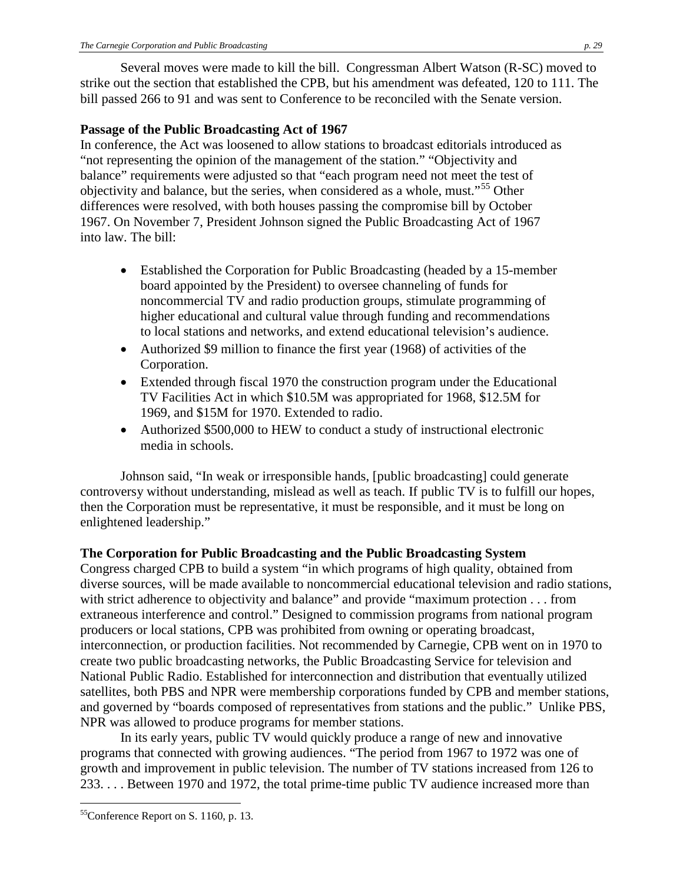Several moves were made to kill the bill. Congressman Albert Watson (R-SC) moved to strike out the section that established the CPB, but his amendment was defeated, 120 to 111. The bill passed 266 to 91 and was sent to Conference to be reconciled with the Senate version.

### **Passage of the Public Broadcasting Act of 1967**

In conference, the Act was loosened to allow stations to broadcast editorials introduced as "not representing the opinion of the management of the station." "Objectivity and balance" requirements were adjusted so that "each program need not meet the test of objectivity and balance, but the series, when considered as a whole, must.<sup>[55](#page-28-0)</sup> Other differences were resolved, with both houses passing the compromise bill by October 1967. On November 7, President Johnson signed the Public Broadcasting Act of 1967 into law. The bill:

- Established the Corporation for Public Broadcasting (headed by a 15-member board appointed by the President) to oversee channeling of funds for noncommercial TV and radio production groups, stimulate programming of higher educational and cultural value through funding and recommendations to local stations and networks, and extend educational television's audience.
- Authorized \$9 million to finance the first year (1968) of activities of the Corporation.
- Extended through fiscal 1970 the construction program under the Educational TV Facilities Act in which \$10.5M was appropriated for 1968, \$12.5M for 1969, and \$15M for 1970. Extended to radio.
- Authorized \$500,000 to HEW to conduct a study of instructional electronic media in schools.

Johnson said, "In weak or irresponsible hands, [public broadcasting] could generate controversy without understanding, mislead as well as teach. If public TV is to fulfill our hopes, then the Corporation must be representative, it must be responsible, and it must be long on enlightened leadership."

## **The Corporation for Public Broadcasting and the Public Broadcasting System**

Congress charged CPB to build a system "in which programs of high quality, obtained from diverse sources, will be made available to noncommercial educational television and radio stations, with strict adherence to objectivity and balance" and provide "maximum protection . . . from extraneous interference and control." Designed to commission programs from national program producers or local stations, CPB was prohibited from owning or operating broadcast, interconnection, or production facilities. Not recommended by Carnegie, CPB went on in 1970 to create two public broadcasting networks, the Public Broadcasting Service for television and National Public Radio. Established for interconnection and distribution that eventually utilized satellites, both PBS and NPR were membership corporations funded by CPB and member stations, and governed by "boards composed of representatives from stations and the public." Unlike PBS, NPR was allowed to produce programs for member stations.

In its early years, public TV would quickly produce a range of new and innovative programs that connected with growing audiences. "The period from 1967 to 1972 was one of growth and improvement in public television. The number of TV stations increased from 126 to 233. . . . Between 1970 and 1972, the total prime-time public TV audience increased more than

<span id="page-28-0"></span> <sup>55</sup>Conference Report on S. 1160, p. 13.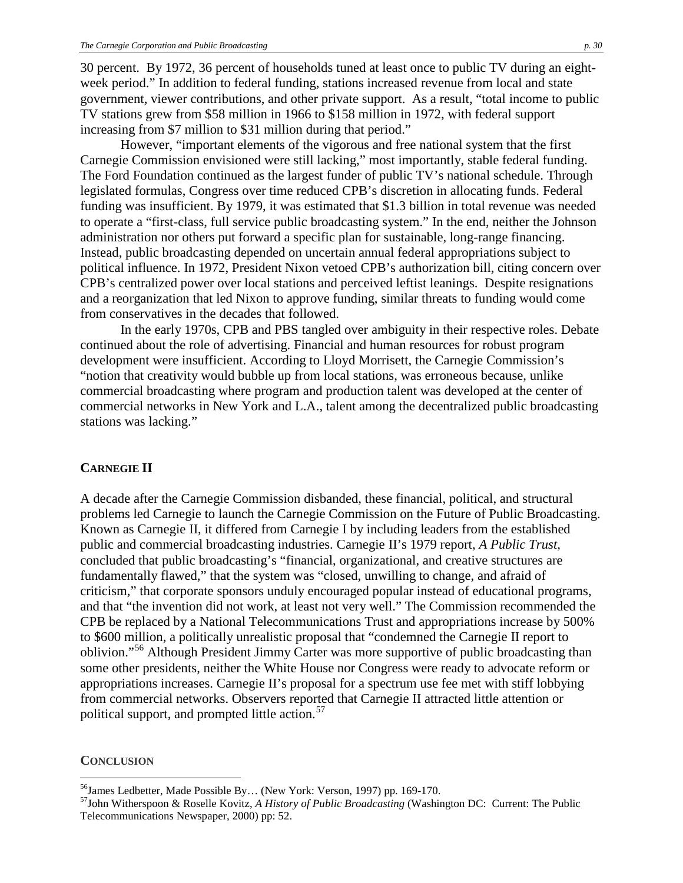30 percent. By 1972, 36 percent of households tuned at least once to public TV during an eightweek period." In addition to federal funding, stations increased revenue from local and state government, viewer contributions, and other private support. As a result, "total income to public TV stations grew from \$58 million in 1966 to \$158 million in 1972, with federal support increasing from \$7 million to \$31 million during that period."

However, "important elements of the vigorous and free national system that the first Carnegie Commission envisioned were still lacking," most importantly, stable federal funding. The Ford Foundation continued as the largest funder of public TV's national schedule. Through legislated formulas, Congress over time reduced CPB's discretion in allocating funds. Federal funding was insufficient. By 1979, it was estimated that \$1.3 billion in total revenue was needed to operate a "first-class, full service public broadcasting system." In the end, neither the Johnson administration nor others put forward a specific plan for sustainable, long-range financing. Instead, public broadcasting depended on uncertain annual federal appropriations subject to political influence. In 1972, President Nixon vetoed CPB's authorization bill, citing concern over CPB's centralized power over local stations and perceived leftist leanings. Despite resignations and a reorganization that led Nixon to approve funding, similar threats to funding would come from conservatives in the decades that followed.

In the early 1970s, CPB and PBS tangled over ambiguity in their respective roles. Debate continued about the role of advertising. Financial and human resources for robust program development were insufficient. According to Lloyd Morrisett, the Carnegie Commission's "notion that creativity would bubble up from local stations, was erroneous because, unlike commercial broadcasting where program and production talent was developed at the center of commercial networks in New York and L.A., talent among the decentralized public broadcasting stations was lacking."

#### **CARNEGIE II**

A decade after the Carnegie Commission disbanded, these financial, political, and structural problems led Carnegie to launch the Carnegie Commission on the Future of Public Broadcasting. Known as Carnegie II, it differed from Carnegie I by including leaders from the established public and commercial broadcasting industries. Carnegie II's 1979 report, *A Public Trust*, concluded that public broadcasting's "financial, organizational, and creative structures are fundamentally flawed," that the system was "closed, unwilling to change, and afraid of criticism," that corporate sponsors unduly encouraged popular instead of educational programs, and that "the invention did not work, at least not very well." The Commission recommended the CPB be replaced by a National Telecommunications Trust and appropriations increase by 500% to \$600 million, a politically unrealistic proposal that "condemned the Carnegie II report to oblivion."<sup>[56](#page-29-0)</sup> Although President Jimmy Carter was more supportive of public broadcasting than some other presidents, neither the White House nor Congress were ready to advocate reform or appropriations increases. Carnegie II's proposal for a spectrum use fee met with stiff lobbying from commercial networks. Observers reported that Carnegie II attracted little attention or political support, and prompted little action.<sup>[57](#page-29-1)</sup>

#### **CONCLUSION**

<span id="page-29-1"></span><span id="page-29-0"></span><sup>&</sup>lt;sup>56</sup>James Ledbetter, Made Possible By... (New York: Verson, 1997) pp. 169-170.<br><sup>57</sup>John Witherspoon & Roselle Kovitz, *A History of Public Broadcasting* (Washington DC: Current: The Public Telecommunications Newspaper, 2000) pp: 52.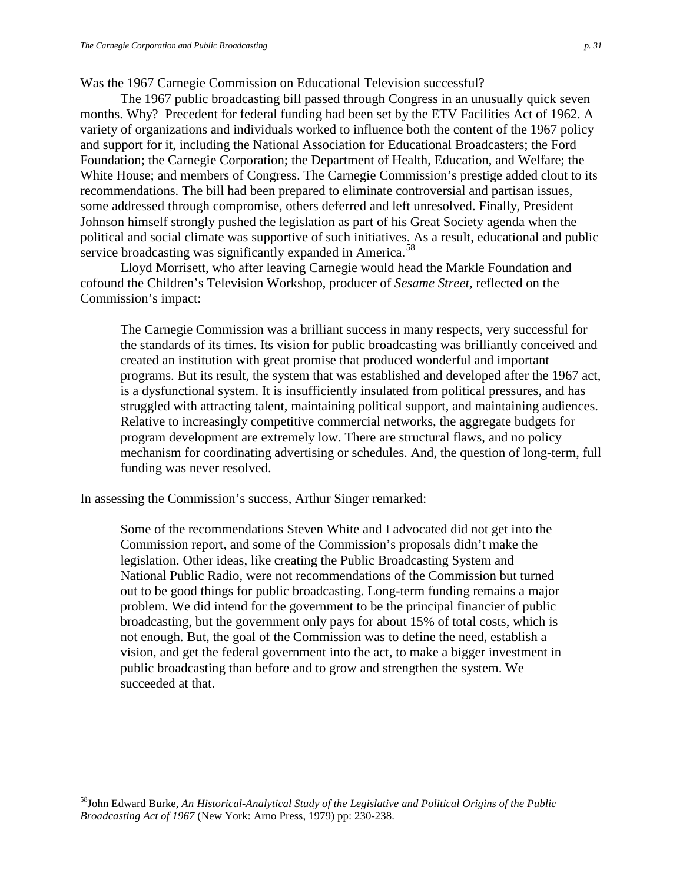Was the 1967 Carnegie Commission on Educational Television successful?

The 1967 public broadcasting bill passed through Congress in an unusually quick seven months. Why? Precedent for federal funding had been set by the ETV Facilities Act of 1962. A variety of organizations and individuals worked to influence both the content of the 1967 policy and support for it, including the National Association for Educational Broadcasters; the Ford Foundation; the Carnegie Corporation; the Department of Health, Education, and Welfare; the White House; and members of Congress. The Carnegie Commission's prestige added clout to its recommendations. The bill had been prepared to eliminate controversial and partisan issues, some addressed through compromise, others deferred and left unresolved. Finally, President Johnson himself strongly pushed the legislation as part of his Great Society agenda when the political and social climate was supportive of such initiatives. As a result, educational and public service broadcasting was significantly expanded in America.<sup>[58](#page-30-0)</sup>

Lloyd Morrisett, who after leaving Carnegie would head the Markle Foundation and cofound the Children's Television Workshop, producer of *Sesame Street,* reflected on the Commission's impact:

The Carnegie Commission was a brilliant success in many respects, very successful for the standards of its times. Its vision for public broadcasting was brilliantly conceived and created an institution with great promise that produced wonderful and important programs. But its result, the system that was established and developed after the 1967 act, is a dysfunctional system. It is insufficiently insulated from political pressures, and has struggled with attracting talent, maintaining political support, and maintaining audiences. Relative to increasingly competitive commercial networks, the aggregate budgets for program development are extremely low. There are structural flaws, and no policy mechanism for coordinating advertising or schedules. And, the question of long-term, full funding was never resolved.

In assessing the Commission's success, Arthur Singer remarked:

Some of the recommendations Steven White and I advocated did not get into the Commission report, and some of the Commission's proposals didn't make the legislation. Other ideas, like creating the Public Broadcasting System and National Public Radio, were not recommendations of the Commission but turned out to be good things for public broadcasting. Long-term funding remains a major problem. We did intend for the government to be the principal financier of public broadcasting, but the government only pays for about 15% of total costs, which is not enough. But, the goal of the Commission was to define the need, establish a vision, and get the federal government into the act, to make a bigger investment in public broadcasting than before and to grow and strengthen the system. We succeeded at that.

<span id="page-30-0"></span> <sup>58</sup>John Edward Burke, *An Historical-Analytical Study of the Legislative and Political Origins of the Public Broadcasting Act of 1967* (New York: Arno Press, 1979) pp: 230-238.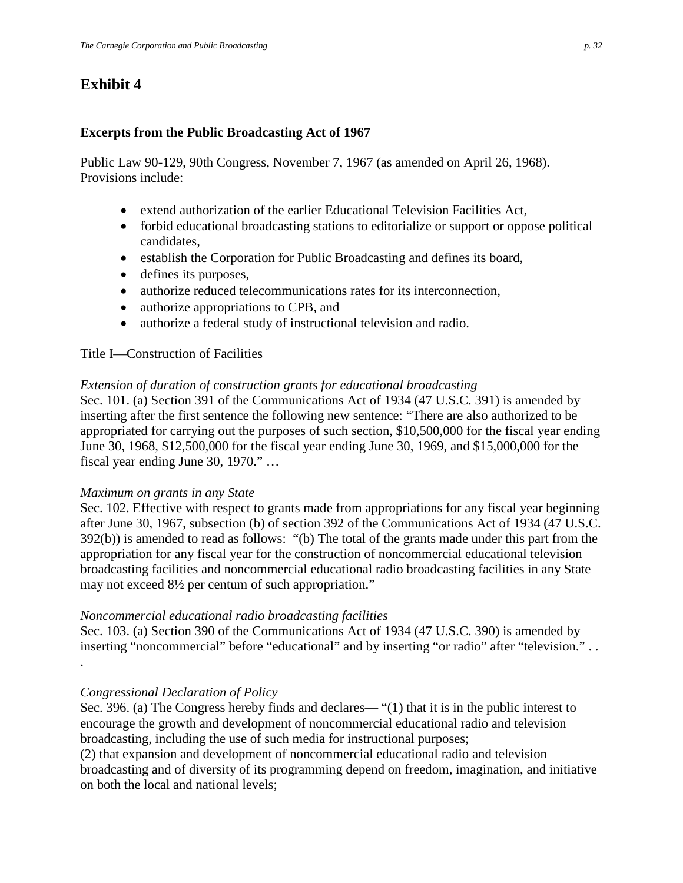# **Exhibit 4**

### **Excerpts from the Public Broadcasting Act of 1967**

Public Law 90-129, 90th Congress, November 7, 1967 (as amended on April 26, 1968). Provisions include:

- [extend authorization of the earlier Educational Television Facilities Act,](http://www.current.org/pbpb/legislation/PBA67.html#etv#etv)
- [forbid educational broadcasting stations to editorialize or support or oppose political](http://www.current.org/pbpb/legislation/PBA67.html#edit#edit)  [candidates,](http://www.current.org/pbpb/legislation/PBA67.html#edit#edit)
- [establish the Corporation for Public Broadcasting and defines its board,](http://www.current.org/pbpb/legislation/PBA67.html#cpb#cpb)
- [defines its purposes,](http://www.current.org/pbpb/legislation/PBA67.html#purposes#purposes)
- [authorize reduced telecommunications rates for its interconnection,](http://www.current.org/pbpb/legislation/PBA67.html#rates#rates)
- [authorize appropriations to CPB,](http://www.current.org/pbpb/legislation/PBA67.html#approp#approp) and
- [authorize a federal study of instructional television and radio.](http://www.current.org/pbpb/legislation/PBA67.html#itv#itv)

### Title I—Construction of Facilities

### *Extension of duration of construction grants for educational broadcasting*

Sec. 101. (a) Section 391 of the Communications Act of 1934 (47 U.S.C. 391) is amended by inserting after the first sentence the following new sentence: "There are also authorized to be appropriated for carrying out the purposes of such section, \$10,500,000 for the fiscal year ending June 30, 1968, \$12,500,000 for the fiscal year ending June 30, 1969, and \$15,000,000 for the fiscal year ending June 30, 1970." …

#### *Maximum on grants in any State*

Sec. 102. Effective with respect to grants made from appropriations for any fiscal year beginning after June 30, 1967, subsection (b) of section 392 of the Communications Act of 1934 (47 U.S.C. 392(b)) is amended to read as follows: "(b) The total of the grants made under this part from the appropriation for any fiscal year for the construction of noncommercial educational television broadcasting facilities and noncommercial educational radio broadcasting facilities in any State may not exceed 8½ per centum of such appropriation."

### *Noncommercial educational radio broadcasting facilities*

Sec. 103. (a) Section 390 of the Communications Act of 1934 (47 U.S.C. 390) is amended by inserting "noncommercial" before "educational" and by inserting "or radio" after "television." . .

### *Congressional Declaration of Policy*

.

Sec. 396. (a) The Congress hereby finds and declares— "(1) that it is in the public interest to encourage the growth and development of noncommercial educational radio and television broadcasting, including the use of such media for instructional purposes;

(2) that expansion and development of noncommercial educational radio and television broadcasting and of diversity of its programming depend on freedom, imagination, and initiative on both the local and national levels;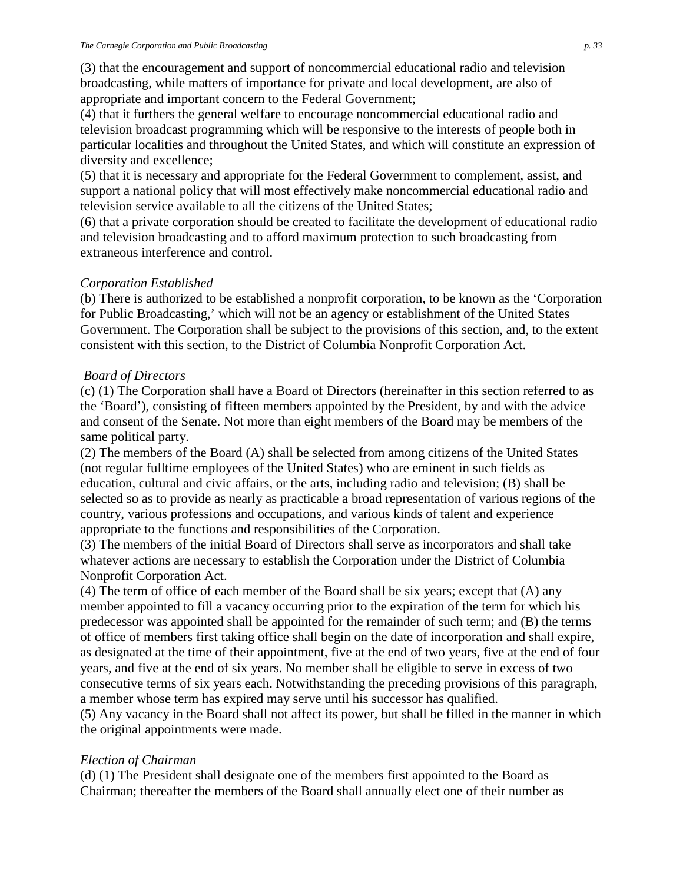(3) that the encouragement and support of noncommercial educational radio and television broadcasting, while matters of importance for private and local development, are also of appropriate and important concern to the Federal Government;

(4) that it furthers the general welfare to encourage noncommercial educational radio and television broadcast programming which will be responsive to the interests of people both in particular localities and throughout the United States, and which will constitute an expression of diversity and excellence;

(5) that it is necessary and appropriate for the Federal Government to complement, assist, and support a national policy that will most effectively make noncommercial educational radio and television service available to all the citizens of the United States;

(6) that a private corporation should be created to facilitate the development of educational radio and television broadcasting and to afford maximum protection to such broadcasting from extraneous interference and control.

## *Corporation Established*

(b) There is authorized to be established a nonprofit corporation, to be known as the 'Corporation for Public Broadcasting,' which will not be an agency or establishment of the United States Government. The Corporation shall be subject to the provisions of this section, and, to the extent consistent with this section, to the District of Columbia Nonprofit Corporation Act.

## *Board of Directors*

(c) (1) The Corporation shall have a Board of Directors (hereinafter in this section referred to as the 'Board'), consisting of fifteen members appointed by the President, by and with the advice and consent of the Senate. Not more than eight members of the Board may be members of the same political party.

(2) The members of the Board (A) shall be selected from among citizens of the United States (not regular fulltime employees of the United States) who are eminent in such fields as education, cultural and civic affairs, or the arts, including radio and television; (B) shall be selected so as to provide as nearly as practicable a broad representation of various regions of the country, various professions and occupations, and various kinds of talent and experience appropriate to the functions and responsibilities of the Corporation.

(3) The members of the initial Board of Directors shall serve as incorporators and shall take whatever actions are necessary to establish the Corporation under the District of Columbia Nonprofit Corporation Act.

(4) The term of office of each member of the Board shall be six years; except that (A) any member appointed to fill a vacancy occurring prior to the expiration of the term for which his predecessor was appointed shall be appointed for the remainder of such term; and (B) the terms of office of members first taking office shall begin on the date of incorporation and shall expire, as designated at the time of their appointment, five at the end of two years, five at the end of four years, and five at the end of six years. No member shall be eligible to serve in excess of two consecutive terms of six years each. Notwithstanding the preceding provisions of this paragraph, a member whose term has expired may serve until his successor has qualified.

(5) Any vacancy in the Board shall not affect its power, but shall be filled in the manner in which the original appointments were made.

## *Election of Chairman*

(d) (1) The President shall designate one of the members first appointed to the Board as Chairman; thereafter the members of the Board shall annually elect one of their number as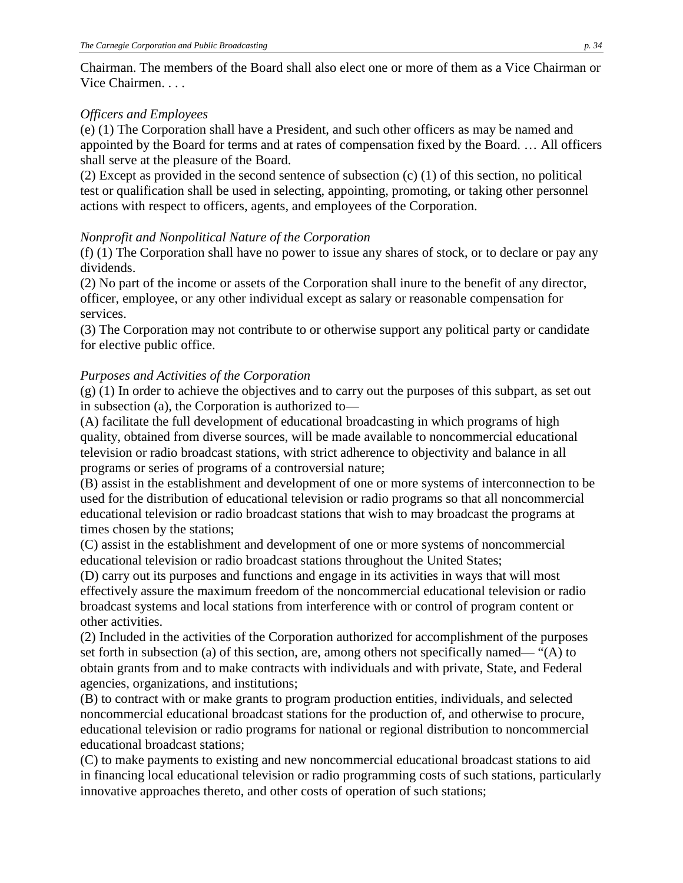Chairman. The members of the Board shall also elect one or more of them as a Vice Chairman or Vice Chairmen. . . .

### *Officers and Employees*

(e) (1) The Corporation shall have a President, and such other officers as may be named and appointed by the Board for terms and at rates of compensation fixed by the Board. … All officers shall serve at the pleasure of the Board.

(2) Except as provided in the second sentence of subsection (c) (1) of this section, no political test or qualification shall be used in selecting, appointing, promoting, or taking other personnel actions with respect to officers, agents, and employees of the Corporation.

### *Nonprofit and Nonpolitical Nature of the Corporation*

(f) (1) The Corporation shall have no power to issue any shares of stock, or to declare or pay any dividends.

(2) No part of the income or assets of the Corporation shall inure to the benefit of any director, officer, employee, or any other individual except as salary or reasonable compensation for services.

(3) The Corporation may not contribute to or otherwise support any political party or candidate for elective public office.

## *Purposes and Activities of the Corporation*

(g) (1) In order to achieve the objectives and to carry out the purposes of this subpart, as set out in subsection (a), the Corporation is authorized to—

(A) facilitate the full development of educational broadcasting in which programs of high quality, obtained from diverse sources, will be made available to noncommercial educational television or radio broadcast stations, with strict adherence to objectivity and balance in all programs or series of programs of a controversial nature;

(B) assist in the establishment and development of one or more systems of interconnection to be used for the distribution of educational television or radio programs so that all noncommercial educational television or radio broadcast stations that wish to may broadcast the programs at times chosen by the stations;

(C) assist in the establishment and development of one or more systems of noncommercial educational television or radio broadcast stations throughout the United States;

(D) carry out its purposes and functions and engage in its activities in ways that will most effectively assure the maximum freedom of the noncommercial educational television or radio broadcast systems and local stations from interference with or control of program content or other activities.

(2) Included in the activities of the Corporation authorized for accomplishment of the purposes set forth in subsection (a) of this section, are, among others not specifically named— "(A) to obtain grants from and to make contracts with individuals and with private, State, and Federal agencies, organizations, and institutions;

(B) to contract with or make grants to program production entities, individuals, and selected noncommercial educational broadcast stations for the production of, and otherwise to procure, educational television or radio programs for national or regional distribution to noncommercial educational broadcast stations;

(C) to make payments to existing and new noncommercial educational broadcast stations to aid in financing local educational television or radio programming costs of such stations, particularly innovative approaches thereto, and other costs of operation of such stations;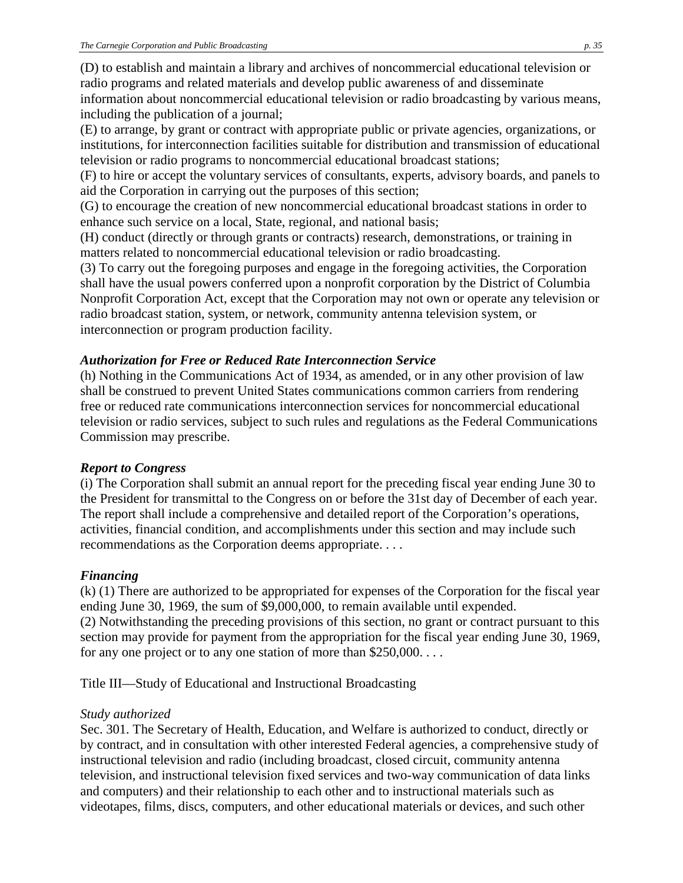(D) to establish and maintain a library and archives of noncommercial educational television or radio programs and related materials and develop public awareness of and disseminate information about noncommercial educational television or radio broadcasting by various means, including the publication of a journal;

(E) to arrange, by grant or contract with appropriate public or private agencies, organizations, or institutions, for interconnection facilities suitable for distribution and transmission of educational television or radio programs to noncommercial educational broadcast stations;

(F) to hire or accept the voluntary services of consultants, experts, advisory boards, and panels to aid the Corporation in carrying out the purposes of this section;

(G) to encourage the creation of new noncommercial educational broadcast stations in order to enhance such service on a local, State, regional, and national basis;

(H) conduct (directly or through grants or contracts) research, demonstrations, or training in matters related to noncommercial educational television or radio broadcasting.

(3) To carry out the foregoing purposes and engage in the foregoing activities, the Corporation shall have the usual powers conferred upon a nonprofit corporation by the District of Columbia Nonprofit Corporation Act, except that the Corporation may not own or operate any television or radio broadcast station, system, or network, community antenna television system, or interconnection or program production facility.

## *Authorization for Free or Reduced Rate Interconnection Service*

(h) Nothing in the Communications Act of 1934, as amended, or in any other provision of law shall be construed to prevent United States communications common carriers from rendering free or reduced rate communications interconnection services for noncommercial educational television or radio services, subject to such rules and regulations as the Federal Communications Commission may prescribe.

## *Report to Congress*

(i) The Corporation shall submit an annual report for the preceding fiscal year ending June 30 to the President for transmittal to the Congress on or before the 31st day of December of each year. The report shall include a comprehensive and detailed report of the Corporation's operations, activities, financial condition, and accomplishments under this section and may include such recommendations as the Corporation deems appropriate. . . .

## *Financing*

(k) (1) There are authorized to be appropriated for expenses of the Corporation for the fiscal year ending June 30, 1969, the sum of \$9,000,000, to remain available until expended. (2) Notwithstanding the preceding provisions of this section, no grant or contract pursuant to this section may provide for payment from the appropriation for the fiscal year ending June 30, 1969, for any one project or to any one station of more than \$250,000. . . .

Title III—Study of Educational and Instructional Broadcasting

## *Study authorized*

Sec. 301. The Secretary of Health, Education, and Welfare is authorized to conduct, directly or by contract, and in consultation with other interested Federal agencies, a comprehensive study of instructional television and radio (including broadcast, closed circuit, community antenna television, and instructional television fixed services and two-way communication of data links and computers) and their relationship to each other and to instructional materials such as videotapes, films, discs, computers, and other educational materials or devices, and such other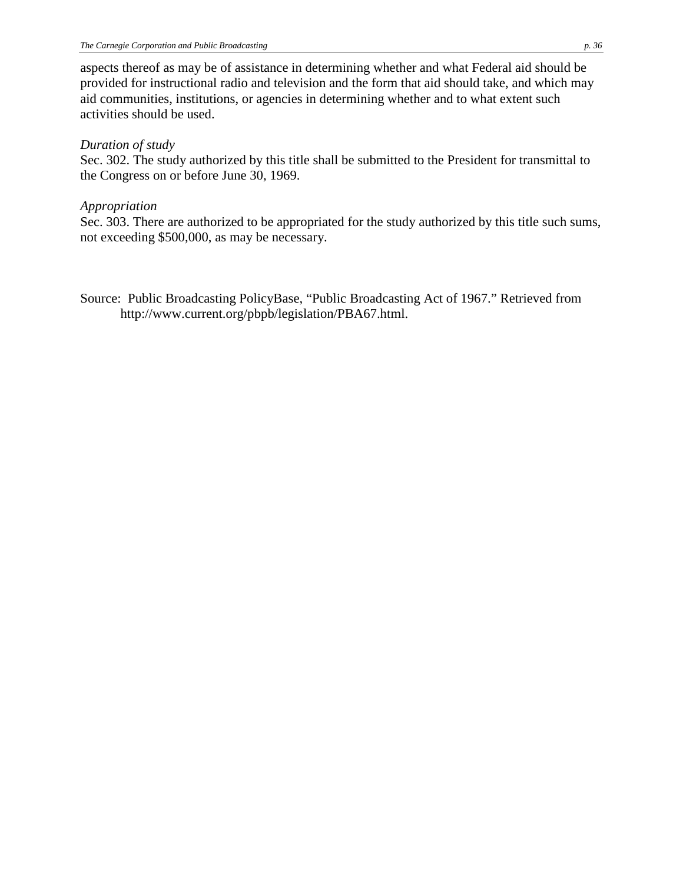aspects thereof as may be of assistance in determining whether and what Federal aid should be provided for instructional radio and television and the form that aid should take, and which may aid communities, institutions, or agencies in determining whether and to what extent such activities should be used.

### *Duration of study*

Sec. 302. The study authorized by this title shall be submitted to the President for transmittal to the Congress on or before June 30, 1969.

## *Appropriation*

Sec. 303. There are authorized to be appropriated for the study authorized by this title such sums, not exceeding \$500,000, as may be necessary.

Source: Public Broadcasting PolicyBase, "Public Broadcasting Act of 1967." Retrieved from http://www.current.org/pbpb/legislation/PBA67.html.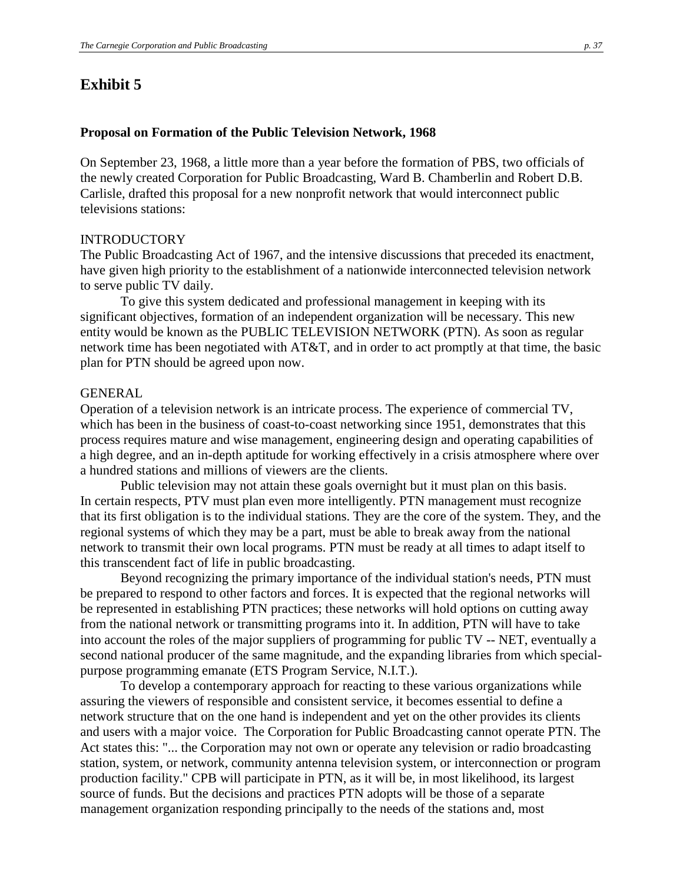## **Exhibit 5**

#### **Proposal on Formation of the Public Television Network, 1968**

On September 23, 1968, a little more than a year before the formation of PBS, two officials of the newly created Corporation for Public Broadcasting, Ward B. Chamberlin and Robert D.B. Carlisle, drafted this proposal for a new nonprofit network that would interconnect public televisions stations:

#### INTRODUCTORY

The Public Broadcasting Act of 1967, and the intensive discussions that preceded its enactment, have given high priority to the establishment of a nationwide interconnected television network to serve public TV daily.

To give this system dedicated and professional management in keeping with its significant objectives, formation of an independent organization will be necessary. This new entity would be known as the PUBLIC TELEVISION NETWORK (PTN). As soon as regular network time has been negotiated with AT&T, and in order to act promptly at that time, the basic plan for PTN should be agreed upon now.

#### GENERAL

Operation of a television network is an intricate process. The experience of commercial TV, which has been in the business of coast-to-coast networking since 1951, demonstrates that this process requires mature and wise management, engineering design and operating capabilities of a high degree, and an in-depth aptitude for working effectively in a crisis atmosphere where over a hundred stations and millions of viewers are the clients.

Public television may not attain these goals overnight but it must plan on this basis. In certain respects, PTV must plan even more intelligently. PTN management must recognize that its first obligation is to the individual stations. They are the core of the system. They, and the regional systems of which they may be a part, must be able to break away from the national network to transmit their own local programs. PTN must be ready at all times to adapt itself to this transcendent fact of life in public broadcasting.

Beyond recognizing the primary importance of the individual station's needs, PTN must be prepared to respond to other factors and forces. It is expected that the regional networks will be represented in establishing PTN practices; these networks will hold options on cutting away from the national network or transmitting programs into it. In addition, PTN will have to take into account the roles of the major suppliers of programming for public TV -- NET, eventually a second national producer of the same magnitude, and the expanding libraries from which specialpurpose programming emanate (ETS Program Service, N.I.T.).

To develop a contemporary approach for reacting to these various organizations while assuring the viewers of responsible and consistent service, it becomes essential to define a network structure that on the one hand is independent and yet on the other provides its clients and users with a major voice. The Corporation for Public Broadcasting cannot operate PTN. The Act states this: "... the Corporation may not own or operate any television or radio broadcasting station, system, or network, community antenna television system, or interconnection or program production facility." CPB will participate in PTN, as it will be, in most likelihood, its largest source of funds. But the decisions and practices PTN adopts will be those of a separate management organization responding principally to the needs of the stations and, most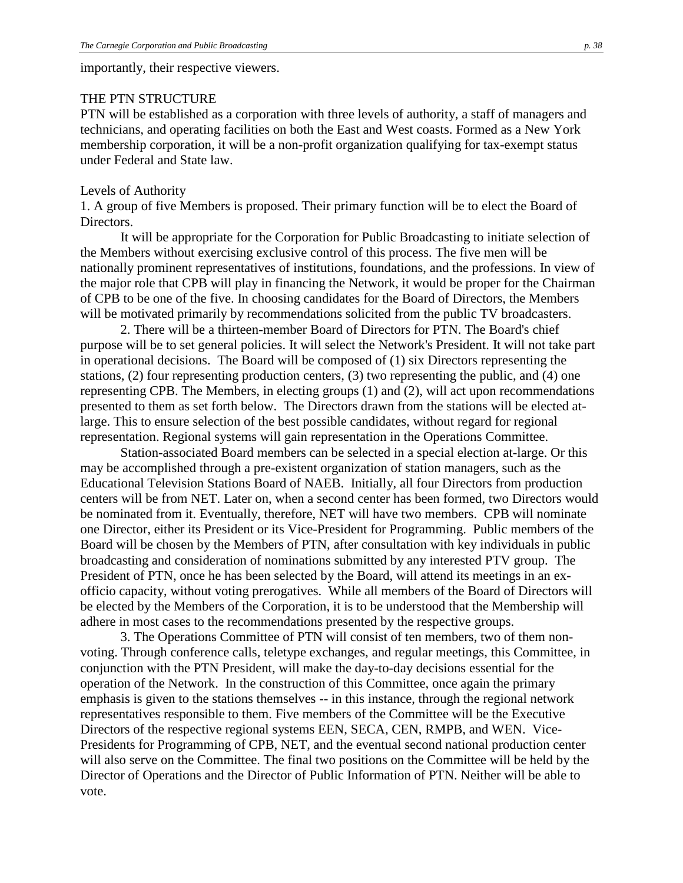importantly, their respective viewers.

### THE PTN STRUCTURE

PTN will be established as a corporation with three levels of authority, a staff of managers and technicians, and operating facilities on both the East and West coasts. Formed as a New York membership corporation, it will be a non-profit organization qualifying for tax-exempt status under Federal and State law.

#### Levels of Authority

1. A group of five Members is proposed. Their primary function will be to elect the Board of Directors.

It will be appropriate for the Corporation for Public Broadcasting to initiate selection of the Members without exercising exclusive control of this process. The five men will be nationally prominent representatives of institutions, foundations, and the professions. In view of the major role that CPB will play in financing the Network, it would be proper for the Chairman of CPB to be one of the five. In choosing candidates for the Board of Directors, the Members will be motivated primarily by recommendations solicited from the public TV broadcasters.

2. There will be a thirteen-member Board of Directors for PTN. The Board's chief purpose will be to set general policies. It will select the Network's President. It will not take part in operational decisions. The Board will be composed of (1) six Directors representing the stations, (2) four representing production centers, (3) two representing the public, and (4) one representing CPB. The Members, in electing groups (1) and (2), will act upon recommendations presented to them as set forth below. The Directors drawn from the stations will be elected atlarge. This to ensure selection of the best possible candidates, without regard for regional representation. Regional systems will gain representation in the Operations Committee.

Station-associated Board members can be selected in a special election at-large. Or this may be accomplished through a pre-existent organization of station managers, such as the Educational Television Stations Board of NAEB. Initially, all four Directors from production centers will be from NET. Later on, when a second center has been formed, two Directors would be nominated from it. Eventually, therefore, NET will have two members. CPB will nominate one Director, either its President or its Vice-President for Programming. Public members of the Board will be chosen by the Members of PTN, after consultation with key individuals in public broadcasting and consideration of nominations submitted by any interested PTV group. The President of PTN, once he has been selected by the Board, will attend its meetings in an exofficio capacity, without voting prerogatives. While all members of the Board of Directors will be elected by the Members of the Corporation, it is to be understood that the Membership will adhere in most cases to the recommendations presented by the respective groups.

3. The Operations Committee of PTN will consist of ten members, two of them nonvoting. Through conference calls, teletype exchanges, and regular meetings, this Committee, in conjunction with the PTN President, will make the day-to-day decisions essential for the operation of the Network. In the construction of this Committee, once again the primary emphasis is given to the stations themselves -- in this instance, through the regional network representatives responsible to them. Five members of the Committee will be the Executive Directors of the respective regional systems EEN, SECA, CEN, RMPB, and WEN. Vice-Presidents for Programming of CPB, NET, and the eventual second national production center will also serve on the Committee. The final two positions on the Committee will be held by the Director of Operations and the Director of Public Information of PTN. Neither will be able to vote.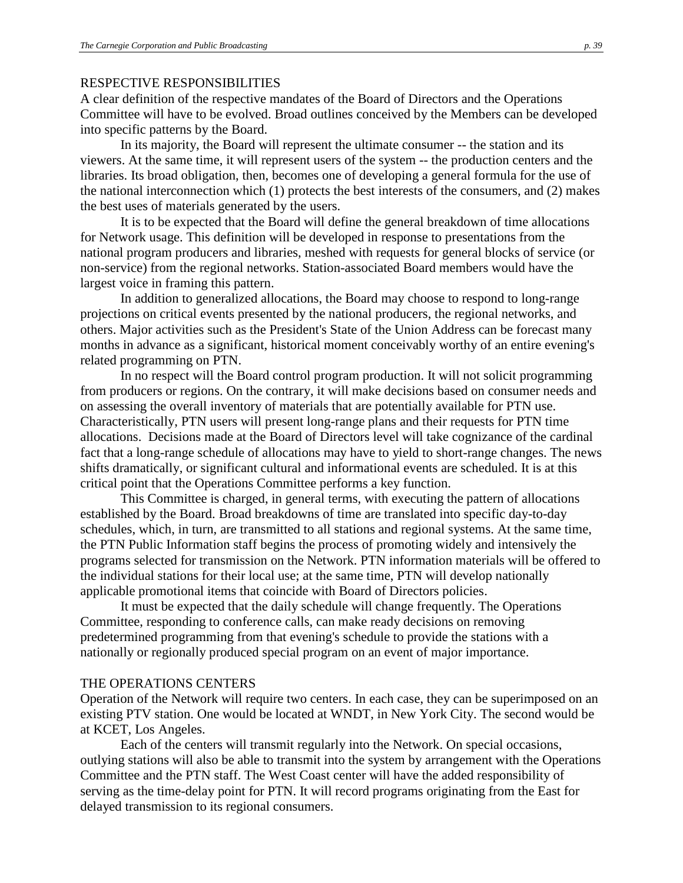#### RESPECTIVE RESPONSIBILITIES

A clear definition of the respective mandates of the Board of Directors and the Operations Committee will have to be evolved. Broad outlines conceived by the Members can be developed into specific patterns by the Board.

In its majority, the Board will represent the ultimate consumer -- the station and its viewers. At the same time, it will represent users of the system -- the production centers and the libraries. Its broad obligation, then, becomes one of developing a general formula for the use of the national interconnection which (1) protects the best interests of the consumers, and (2) makes the best uses of materials generated by the users.

It is to be expected that the Board will define the general breakdown of time allocations for Network usage. This definition will be developed in response to presentations from the national program producers and libraries, meshed with requests for general blocks of service (or non-service) from the regional networks. Station-associated Board members would have the largest voice in framing this pattern.

In addition to generalized allocations, the Board may choose to respond to long-range projections on critical events presented by the national producers, the regional networks, and others. Major activities such as the President's State of the Union Address can be forecast many months in advance as a significant, historical moment conceivably worthy of an entire evening's related programming on PTN.

In no respect will the Board control program production. It will not solicit programming from producers or regions. On the contrary, it will make decisions based on consumer needs and on assessing the overall inventory of materials that are potentially available for PTN use. Characteristically, PTN users will present long-range plans and their requests for PTN time allocations. Decisions made at the Board of Directors level will take cognizance of the cardinal fact that a long-range schedule of allocations may have to yield to short-range changes. The news shifts dramatically, or significant cultural and informational events are scheduled. It is at this critical point that the Operations Committee performs a key function.

This Committee is charged, in general terms, with executing the pattern of allocations established by the Board. Broad breakdowns of time are translated into specific day-to-day schedules, which, in turn, are transmitted to all stations and regional systems. At the same time, the PTN Public Information staff begins the process of promoting widely and intensively the programs selected for transmission on the Network. PTN information materials will be offered to the individual stations for their local use; at the same time, PTN will develop nationally applicable promotional items that coincide with Board of Directors policies.

It must be expected that the daily schedule will change frequently. The Operations Committee, responding to conference calls, can make ready decisions on removing predetermined programming from that evening's schedule to provide the stations with a nationally or regionally produced special program on an event of major importance.

### THE OPERATIONS CENTERS

Operation of the Network will require two centers. In each case, they can be superimposed on an existing PTV station. One would be located at WNDT, in New York City. The second would be at KCET, Los Angeles.

Each of the centers will transmit regularly into the Network. On special occasions, outlying stations will also be able to transmit into the system by arrangement with the Operations Committee and the PTN staff. The West Coast center will have the added responsibility of serving as the time-delay point for PTN. It will record programs originating from the East for delayed transmission to its regional consumers.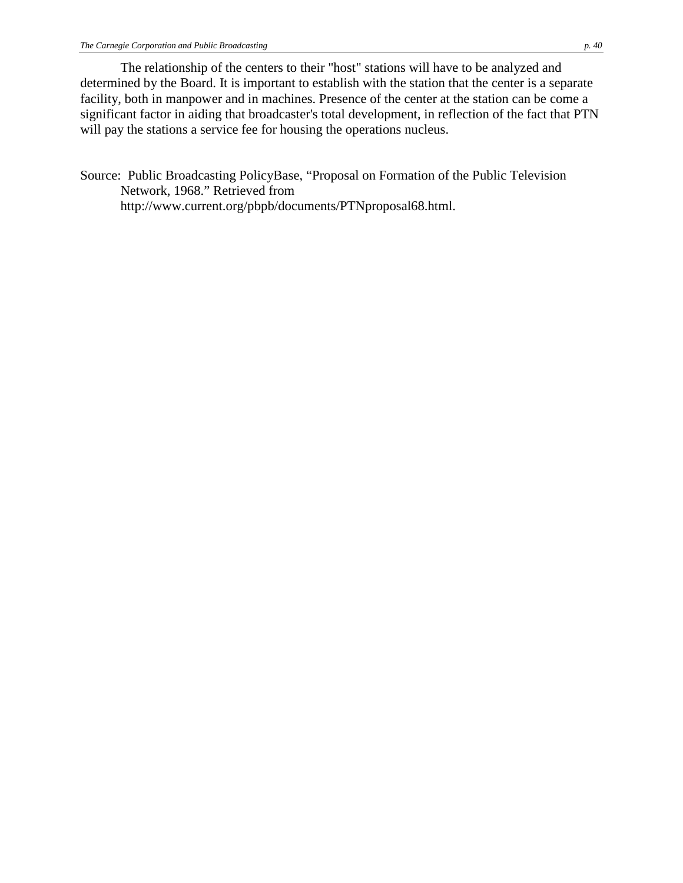The relationship of the centers to their "host" stations will have to be analyzed and determined by the Board. It is important to establish with the station that the center is a separate facility, both in manpower and in machines. Presence of the center at the station can be come a significant factor in aiding that broadcaster's total development, in reflection of the fact that PTN will pay the stations a service fee for housing the operations nucleus.

Source: Public Broadcasting PolicyBase, "Proposal on Formation of the Public Television Network, 1968." Retrieved from http://www.current.org/pbpb/documents/PTNproposal68.html.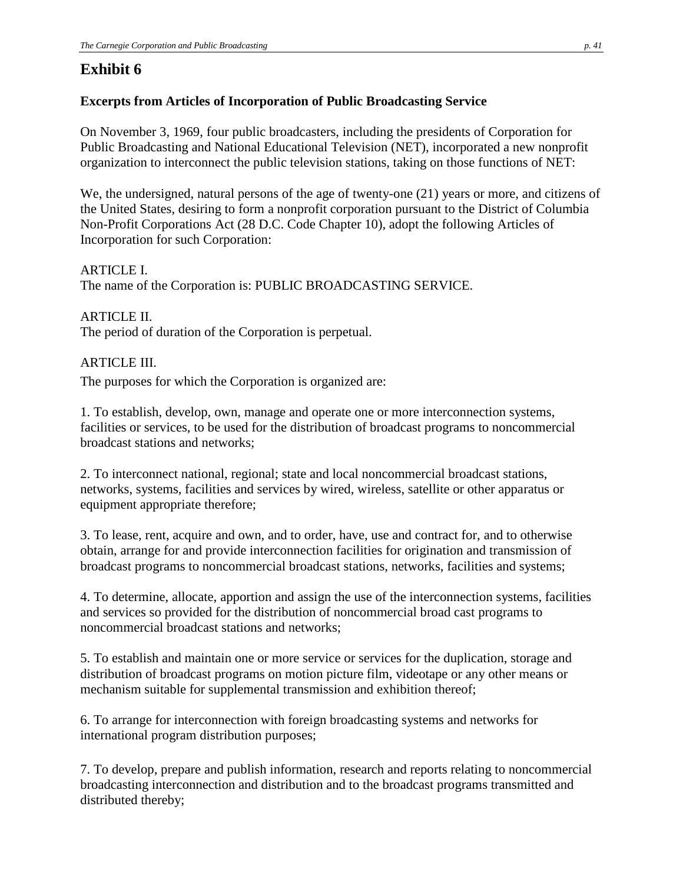# **Exhibit 6**

## **Excerpts from Articles of Incorporation of Public Broadcasting Service**

On November 3, 1969, four public broadcasters, including the presidents of Corporation for Public Broadcasting and National Educational Television (NET), incorporated a new nonprofit organization to interconnect the public television stations, taking on those functions of NET:

We, the undersigned, natural persons of the age of twenty-one (21) years or more, and citizens of the United States, desiring to form a nonprofit corporation pursuant to the District of Columbia Non-Profit Corporations Act (28 D.C. Code Chapter 10), adopt the following Articles of Incorporation for such Corporation:

ARTICLE I. The name of the Corporation is: PUBLIC BROADCASTING SERVICE.

ARTICLE II. The period of duration of the Corporation is perpetual.

## ARTICLE III.

The purposes for which the Corporation is organized are:

1. To establish, develop, own, manage and operate one or more interconnection systems, facilities or services, to be used for the distribution of broadcast programs to noncommercial broadcast stations and networks;

2. To interconnect national, regional; state and local noncommercial broadcast stations, networks, systems, facilities and services by wired, wireless, satellite or other apparatus or equipment appropriate therefore;

3. To lease, rent, acquire and own, and to order, have, use and contract for, and to otherwise obtain, arrange for and provide interconnection facilities for origination and transmission of broadcast programs to noncommercial broadcast stations, networks, facilities and systems;

4. To determine, allocate, apportion and assign the use of the interconnection systems, facilities and services so provided for the distribution of noncommercial broad cast programs to noncommercial broadcast stations and networks;

5. To establish and maintain one or more service or services for the duplication, storage and distribution of broadcast programs on motion picture film, videotape or any other means or mechanism suitable for supplemental transmission and exhibition thereof;

6. To arrange for interconnection with foreign broadcasting systems and networks for international program distribution purposes;

7. To develop, prepare and publish information, research and reports relating to noncommercial broadcasting interconnection and distribution and to the broadcast programs transmitted and distributed thereby;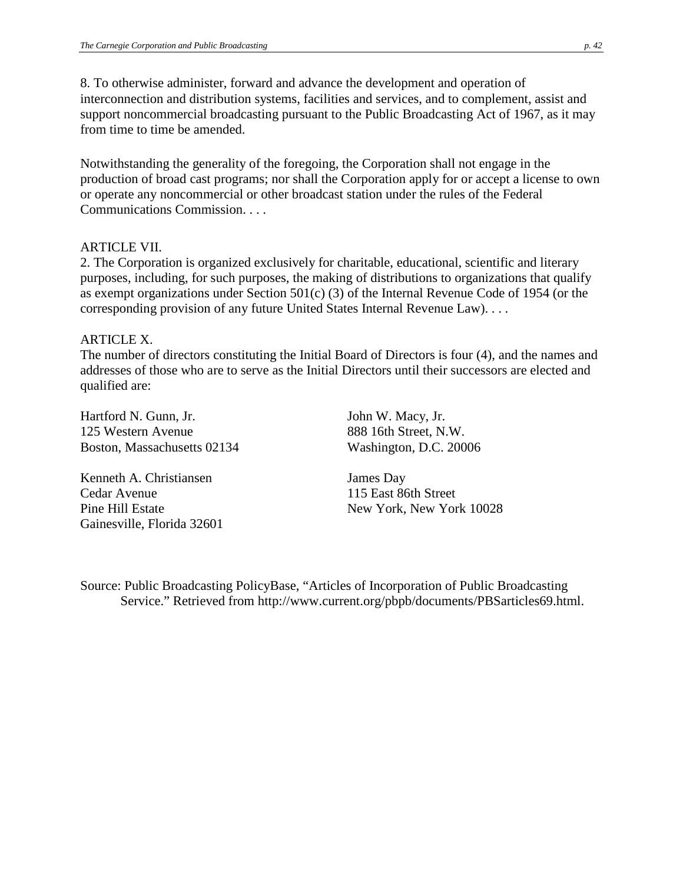8. To otherwise administer, forward and advance the development and operation of interconnection and distribution systems, facilities and services, and to complement, assist and support noncommercial broadcasting pursuant to the Public Broadcasting Act of 1967, as it may from time to time be amended.

Notwithstanding the generality of the foregoing, the Corporation shall not engage in the production of broad cast programs; nor shall the Corporation apply for or accept a license to own or operate any noncommercial or other broadcast station under the rules of the Federal Communications Commission. . . .

#### ARTICLE VII.

2. The Corporation is organized exclusively for charitable, educational, scientific and literary purposes, including, for such purposes, the making of distributions to organizations that qualify as exempt organizations under Section 501(c) (3) of the Internal Revenue Code of 1954 (or the corresponding provision of any future United States Internal Revenue Law). . . .

#### ARTICLE X.

The number of directors constituting the Initial Board of Directors is four (4), and the names and addresses of those who are to serve as the Initial Directors until their successors are elected and qualified are:

Hartford N. Gunn, Jr. 125 Western Avenue Boston, Massachusetts 02134

Kenneth A. Christiansen Cedar Avenue Pine Hill Estate Gainesville, Florida 32601 John W. Macy, Jr. 888 16th Street, N.W. Washington, D.C. 20006

James Day 115 East 86th Street New York, New York 10028

Source: Public Broadcasting PolicyBase, "Articles of Incorporation of Public Broadcasting Service." Retrieved from http://www.current.org/pbpb/documents/PBSarticles69.html.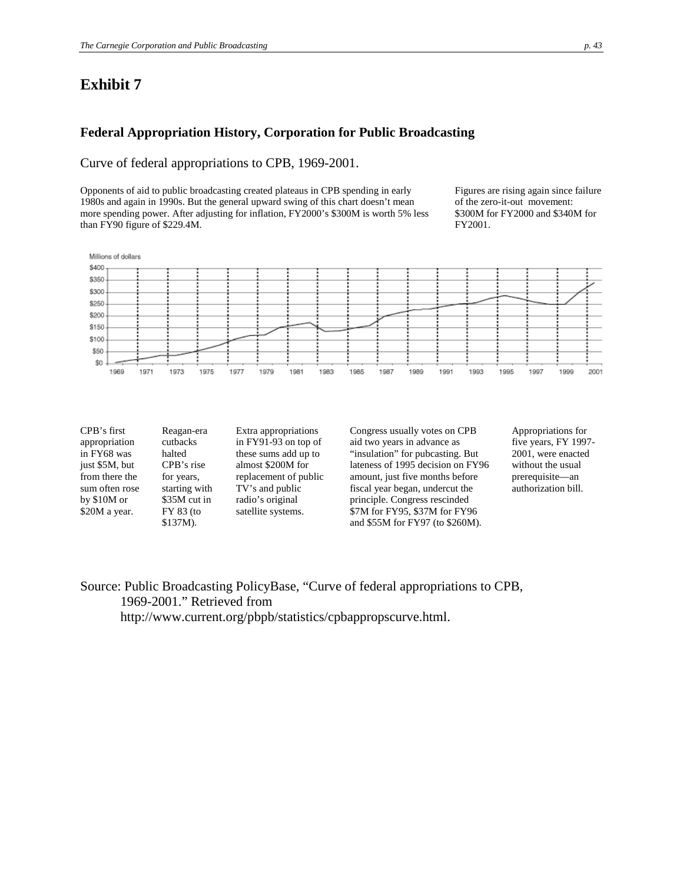## **Exhibit 7**

#### **Federal Appropriation History, Corporation for Public Broadcasting**

#### Curve of federal appropriations to CPB, 1969-2001.

Opponents of aid to public broadcasting created plateaus in CPB spending in early 1980s and again in 1990s. But the general upward swing of this chart doesn't mean more spending power. After adjusting for inflation, FY2000's \$300M is worth 5% less than FY90 figure of \$229.4M.

Figures are rising again since failure of the zero-it-out movement: \$300M for FY2000 and \$340M for FY2001.



| CPB's first    | Reagan-era    |
|----------------|---------------|
| appropriation  | cutbacks      |
| in FY68 was    | halted        |
| just \$5M, but | CPB's rise    |
| from there the | for years,    |
| sum often rose | starting with |
| by $$10M$ or   | \$35M cut in  |
| \$20M a year.  | FY 83 (to     |
|                | \$137M).      |

Extra appropriations in FY91-93 on top of these sums add up to almost \$200M for replacement of public TV's and public radio's original satellite systems.

Congress usually votes on CPB aid two years in advance as "insulation" for pubcasting. But lateness of 1995 decision on FY96 amount, just five months before fiscal year began, undercut the principle. Congress rescinded \$7M for FY95, \$37M for FY96 and \$55M for FY97 (to \$260M).

Appropriations for five years, FY 1997- 2001, were enacted without the usual prerequisite—an authorization bill.

Source: Public Broadcasting PolicyBase, "Curve of federal appropriations to CPB, 1969-2001." Retrieved from

http://www.current.org/pbpb/statistics/cpbappropscurve.html.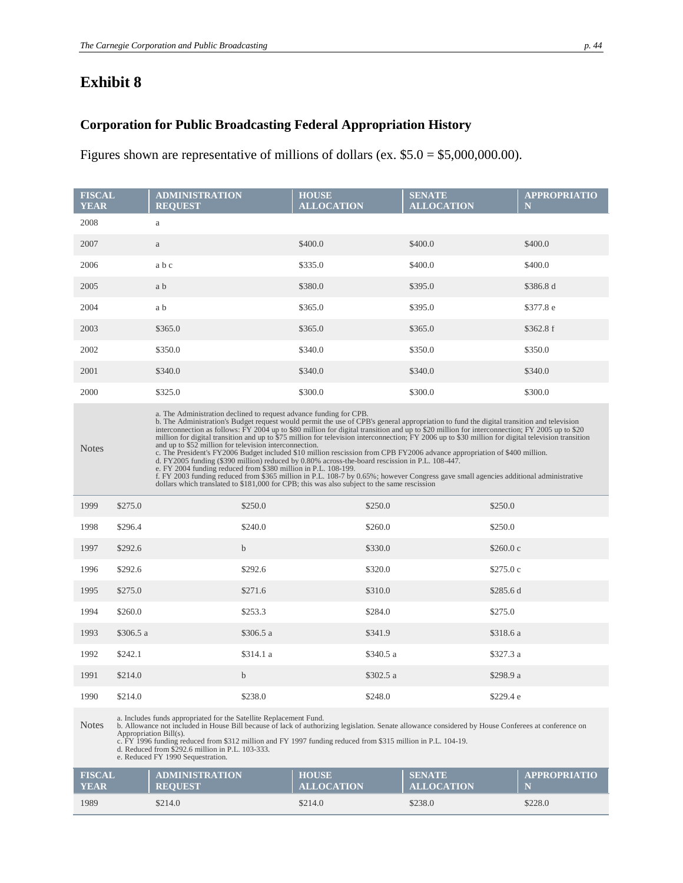# **Exhibit 8**

## **Corporation for Public Broadcasting Federal Appropriation History**

Figures shown are representative of millions of dollars (ex. \$5.0 = \$5,000,000.00).

| <b>FISCAL</b><br><b>YEAR</b> |           | <b>ADMINISTRATION</b><br><b>REOUEST</b>                                                                                                                                                                                                                                                                                                                                                                                                                                                                                                                                                                                                                                                                                                                                                                                                                                                                                                                                                                                                                                                                                 |             | <b>HOUSE</b><br><b>ALLOCATION</b> |           | <b>SENATE</b><br><b>ALLOCATION</b> |           | <b>APPROPRIATIO</b><br>N |
|------------------------------|-----------|-------------------------------------------------------------------------------------------------------------------------------------------------------------------------------------------------------------------------------------------------------------------------------------------------------------------------------------------------------------------------------------------------------------------------------------------------------------------------------------------------------------------------------------------------------------------------------------------------------------------------------------------------------------------------------------------------------------------------------------------------------------------------------------------------------------------------------------------------------------------------------------------------------------------------------------------------------------------------------------------------------------------------------------------------------------------------------------------------------------------------|-------------|-----------------------------------|-----------|------------------------------------|-----------|--------------------------|
| 2008                         |           | $\rm{a}$                                                                                                                                                                                                                                                                                                                                                                                                                                                                                                                                                                                                                                                                                                                                                                                                                                                                                                                                                                                                                                                                                                                |             |                                   |           |                                    |           |                          |
| 2007                         |           | a                                                                                                                                                                                                                                                                                                                                                                                                                                                                                                                                                                                                                                                                                                                                                                                                                                                                                                                                                                                                                                                                                                                       |             | \$400.0                           |           | \$400.0                            |           | \$400.0                  |
| 2006                         |           | abc                                                                                                                                                                                                                                                                                                                                                                                                                                                                                                                                                                                                                                                                                                                                                                                                                                                                                                                                                                                                                                                                                                                     |             | \$335.0                           |           | \$400.0                            |           | \$400.0                  |
| 2005                         |           | a b                                                                                                                                                                                                                                                                                                                                                                                                                                                                                                                                                                                                                                                                                                                                                                                                                                                                                                                                                                                                                                                                                                                     |             | \$380.0                           |           | \$395.0                            |           | \$386.8 d                |
| 2004                         |           | a b                                                                                                                                                                                                                                                                                                                                                                                                                                                                                                                                                                                                                                                                                                                                                                                                                                                                                                                                                                                                                                                                                                                     |             | \$365.0                           |           | \$395.0                            |           | \$377.8 e                |
| 2003                         |           | \$365.0                                                                                                                                                                                                                                                                                                                                                                                                                                                                                                                                                                                                                                                                                                                                                                                                                                                                                                                                                                                                                                                                                                                 |             | \$365.0                           |           | \$365.0                            |           | \$362.8f                 |
| 2002                         |           | \$350.0                                                                                                                                                                                                                                                                                                                                                                                                                                                                                                                                                                                                                                                                                                                                                                                                                                                                                                                                                                                                                                                                                                                 |             | \$340.0                           |           | \$350.0                            |           | \$350.0                  |
| 2001                         |           | \$340.0                                                                                                                                                                                                                                                                                                                                                                                                                                                                                                                                                                                                                                                                                                                                                                                                                                                                                                                                                                                                                                                                                                                 |             | \$340.0                           |           | \$340.0                            |           | \$340.0                  |
| 2000                         |           | \$325.0                                                                                                                                                                                                                                                                                                                                                                                                                                                                                                                                                                                                                                                                                                                                                                                                                                                                                                                                                                                                                                                                                                                 |             | \$300.0                           |           | \$300.0                            |           | \$300.0                  |
| <b>Notes</b>                 |           | a. The Administration declined to request advance funding for CPB.<br>b. The Administration's Budget request would permit the use of CPB's general appropriation to fund the digital transition and television<br>interconnection as follows: FY 2004 up to \$80 million for digital transition and up to \$20 million for interconnection; FY 2005 up to \$20<br>million for digital transition and up to \$75 million for television interconnection; FY 2006 up to \$30 million for digital television transition<br>and up to \$52 million for television interconnection.<br>c. The President's FY2006 Budget included \$10 million rescission from CPB FY2006 advance appropriation of \$400 million.<br>d. FY2005 funding (\$390 million) reduced by 0.80% across-the-board rescission in P.L. 108-447.<br>e. FY 2004 funding reduced from \$380 million in P.L. 108-199.<br>f. FY 2003 funding reduced from \$365 million in P.L. 108-7 by 0.65%; however Congress gave small agencies additional administrative<br>dollars which translated to \$181,000 for CPB; this was also subject to the same rescission |             |                                   |           |                                    |           |                          |
| 1999                         | \$275.0   |                                                                                                                                                                                                                                                                                                                                                                                                                                                                                                                                                                                                                                                                                                                                                                                                                                                                                                                                                                                                                                                                                                                         | \$250.0     |                                   | \$250.0   |                                    | \$250.0   |                          |
| 1998                         | \$296.4   |                                                                                                                                                                                                                                                                                                                                                                                                                                                                                                                                                                                                                                                                                                                                                                                                                                                                                                                                                                                                                                                                                                                         | \$240.0     |                                   | \$260.0   |                                    | \$250.0   |                          |
| 1997                         | \$292.6   |                                                                                                                                                                                                                                                                                                                                                                                                                                                                                                                                                                                                                                                                                                                                                                                                                                                                                                                                                                                                                                                                                                                         | $\mathbf b$ |                                   | \$330.0   |                                    | \$260.0 c |                          |
| 1996                         | \$292.6   |                                                                                                                                                                                                                                                                                                                                                                                                                                                                                                                                                                                                                                                                                                                                                                                                                                                                                                                                                                                                                                                                                                                         | \$292.6     |                                   | \$320.0   |                                    | \$275.0c  |                          |
| 1995                         | \$275.0   |                                                                                                                                                                                                                                                                                                                                                                                                                                                                                                                                                                                                                                                                                                                                                                                                                                                                                                                                                                                                                                                                                                                         | \$271.6     |                                   | \$310.0   |                                    | \$285.6 d |                          |
| 1994                         | \$260.0   |                                                                                                                                                                                                                                                                                                                                                                                                                                                                                                                                                                                                                                                                                                                                                                                                                                                                                                                                                                                                                                                                                                                         | \$253.3     |                                   | \$284.0   |                                    | \$275.0   |                          |
| 1993                         | \$306.5 a |                                                                                                                                                                                                                                                                                                                                                                                                                                                                                                                                                                                                                                                                                                                                                                                                                                                                                                                                                                                                                                                                                                                         | \$306.5 a   |                                   | \$341.9   |                                    | \$318.6 a |                          |
| 1992                         | \$242.1   |                                                                                                                                                                                                                                                                                                                                                                                                                                                                                                                                                                                                                                                                                                                                                                                                                                                                                                                                                                                                                                                                                                                         | \$314.1 a   |                                   | \$340.5 a |                                    | \$327.3 a |                          |
| 1991                         | \$214.0   |                                                                                                                                                                                                                                                                                                                                                                                                                                                                                                                                                                                                                                                                                                                                                                                                                                                                                                                                                                                                                                                                                                                         | $\mathbf b$ |                                   | \$302.5 a |                                    | \$298.9 a |                          |
| 1990                         | \$214.0   |                                                                                                                                                                                                                                                                                                                                                                                                                                                                                                                                                                                                                                                                                                                                                                                                                                                                                                                                                                                                                                                                                                                         | \$238.0     |                                   | \$248.0   |                                    | \$229.4 e |                          |
|                              |           | a. Includes funds appropriated for the Satellite Replacement Fund.                                                                                                                                                                                                                                                                                                                                                                                                                                                                                                                                                                                                                                                                                                                                                                                                                                                                                                                                                                                                                                                      |             |                                   |           |                                    |           |                          |

a. Includes funds appropriated for the Satellite Replacement Fund.<br>Notes b. Allowance not included in House Bill because of lack of authorizing legislation. Senate allowance considered by House Conferencs at conference on<br>

c. FY 1996 funding reduced from \$312 million and FY 1997 funding reduced from \$315 million in P.L. 104-19. d. Reduced from \$292.6 million in P.L. 103-333. e. Reduced FY 1990 Sequestration.

| <b>FISCAL</b> | <b>ADMINISTRATION</b> | <b>HOUSE</b>      | <b>SENATE</b>     | <b>APPROPRIATIO</b> |
|---------------|-----------------------|-------------------|-------------------|---------------------|
| <b>YEAR</b>   | <b>REOUEST</b>        | <b>ALLOCATION</b> | <b>ALLOCATION</b> |                     |
| 1989          | \$214.0               | \$214.0           | \$238.0           | \$228.0             |